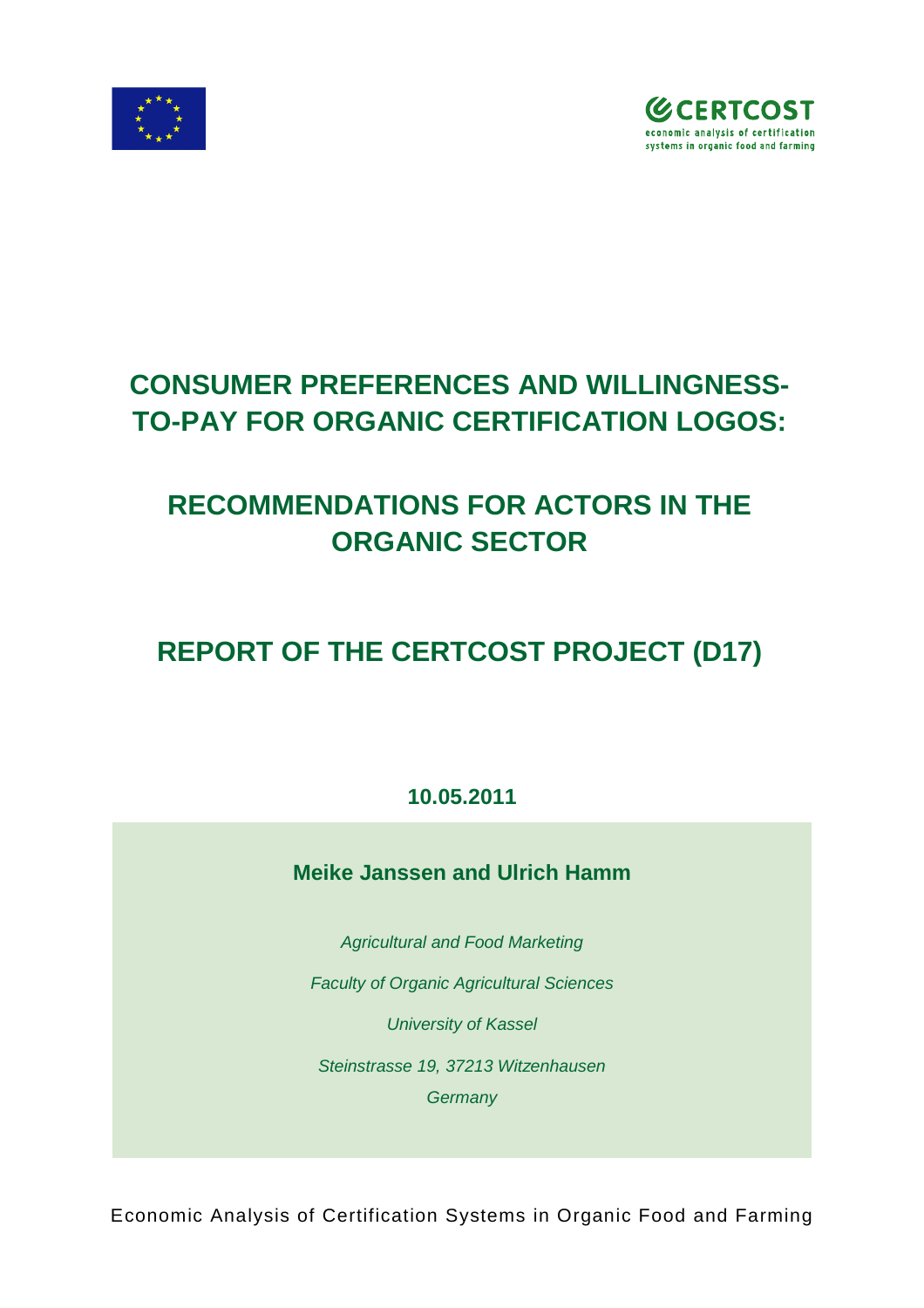



# **CONSUMER PREFERENCES AND WILLINGNESS-TO-PAY FOR ORGANIC CERTIFICATION LOGOS:**

# **RECOMMENDATIONS FOR ACTORS IN THE ORGANIC SECTOR**

# **REPORT OF THE CERTCOST PROJECT (D17)**

**10.05.2011**

**Meike Janssen and Ulrich Hamm**

*Agricultural and Food Marketing Faculty of Organic Agricultural Sciences University of Kassel Steinstrasse 19, 37213 Witzenhausen Germany*

Economic Analysis of Certification Systems in Organic Food and Farming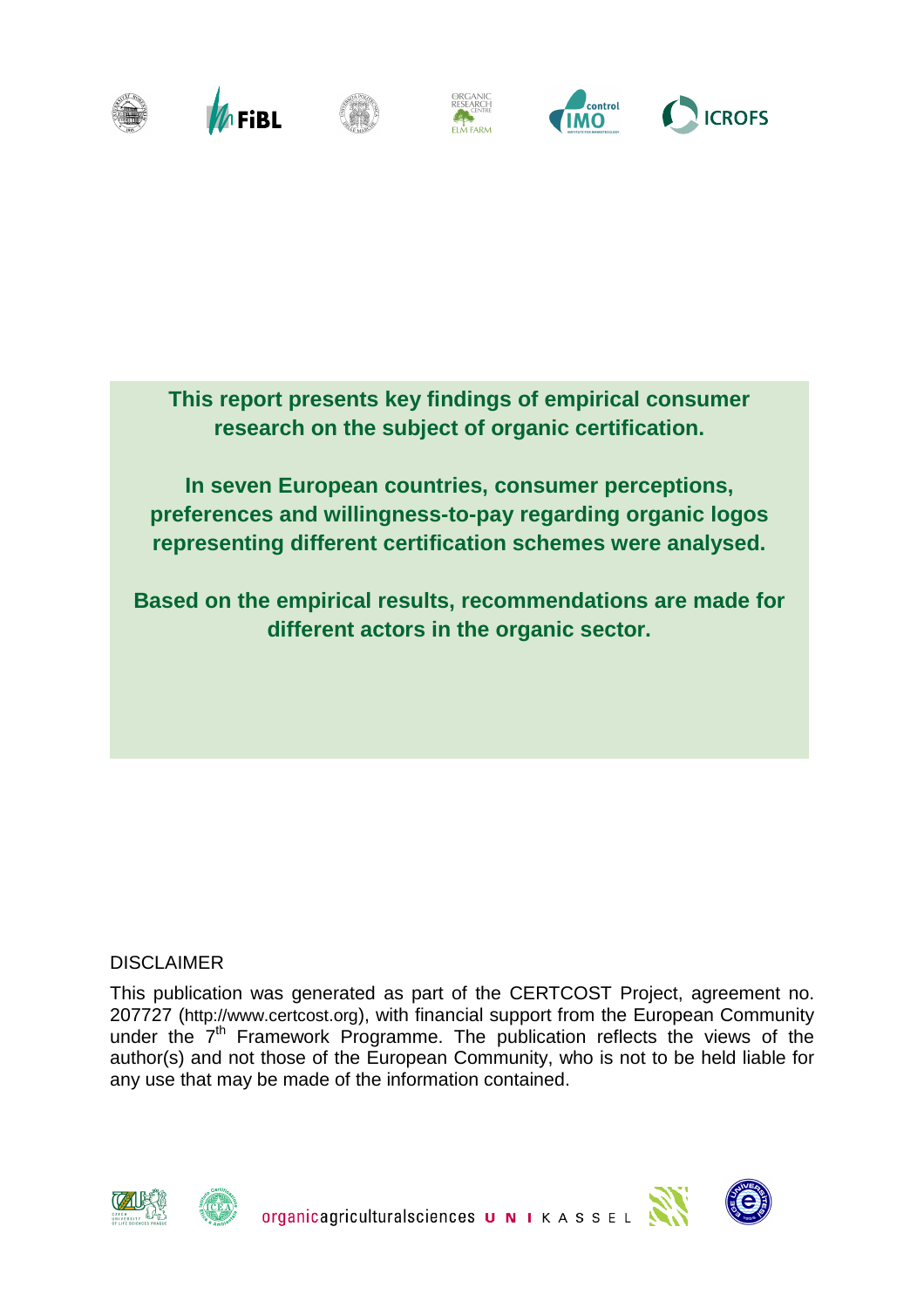

**This report presents key findings of empirical consumer research on the subject of organic certification.** 

**In seven European countries, consumer perceptions, preferences and willingness-to-pay regarding organic logos representing different certification schemes were analysed.** 

**Based on the empirical results, recommendations are made for different actors in the organic sector.**

#### DISCLAIMER

This publication was generated as part of the CERTCOST Project, agreement no. 207727 (<http://www.certcost.org>), with financial support from the European Community under the  $7<sup>th</sup>$  Framework Programme. The publication reflects the views of the author(s) and not those of the European Community, who is not to be held liable for any use that may be made of the information contained.







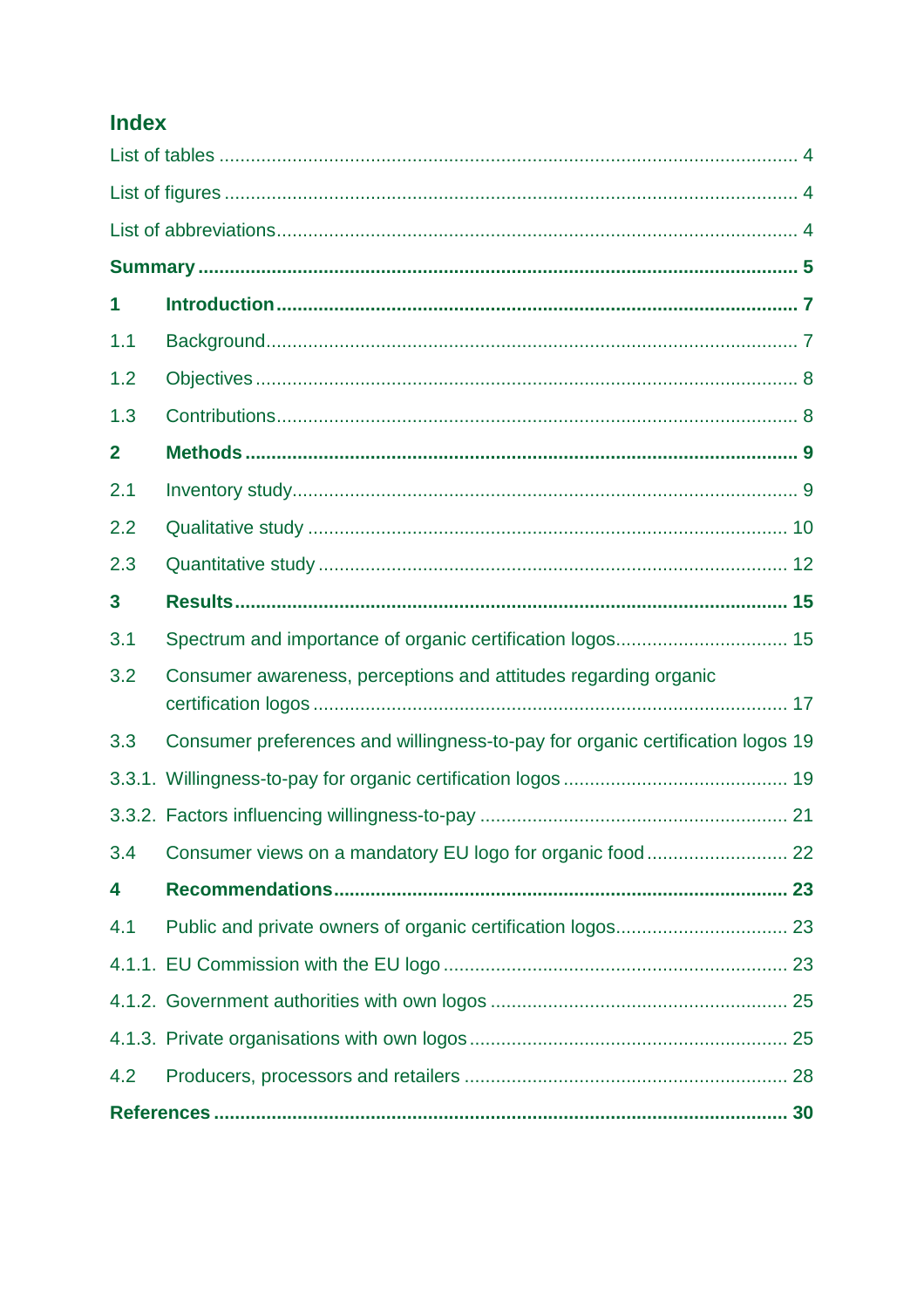## **Index**

| 1            |                                                                                |
|--------------|--------------------------------------------------------------------------------|
| 1.1          |                                                                                |
| 1.2          |                                                                                |
| 1.3          |                                                                                |
| $\mathbf{2}$ |                                                                                |
| 2.1          |                                                                                |
| 2.2          |                                                                                |
| 2.3          |                                                                                |
| 3            |                                                                                |
| 3.1          |                                                                                |
| 3.2          | Consumer awareness, perceptions and attitudes regarding organic                |
| 3.3          | Consumer preferences and willingness-to-pay for organic certification logos 19 |
|              |                                                                                |
|              |                                                                                |
| 3.4          |                                                                                |
| 4            |                                                                                |
| 4.1          |                                                                                |
|              |                                                                                |
|              |                                                                                |
|              |                                                                                |
| 4.2          |                                                                                |
|              |                                                                                |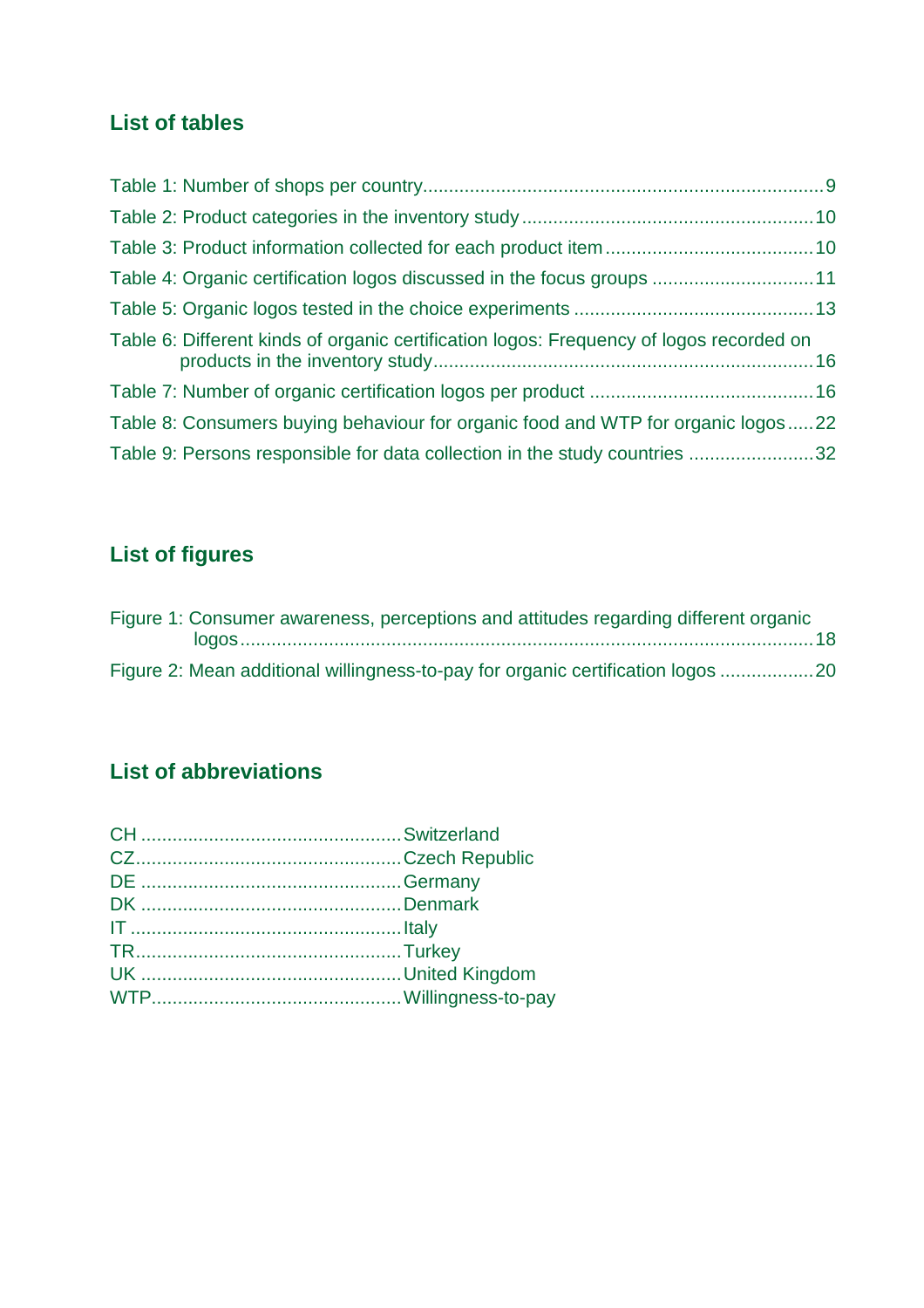## **List of tables**

| Table 4: Organic certification logos discussed in the focus groups 11                   |  |
|-----------------------------------------------------------------------------------------|--|
|                                                                                         |  |
| Table 6: Different kinds of organic certification logos: Frequency of logos recorded on |  |
|                                                                                         |  |
| Table 8: Consumers buying behaviour for organic food and WTP for organic logos22        |  |
| Table 9: Persons responsible for data collection in the study countries 32              |  |

# **List of figures**

| Figure 1: Consumer awareness, perceptions and attitudes regarding different organic |  |
|-------------------------------------------------------------------------------------|--|
|                                                                                     |  |
| Figure 2: Mean additional willingness-to-pay for organic certification logos 20     |  |

# **List of abbreviations**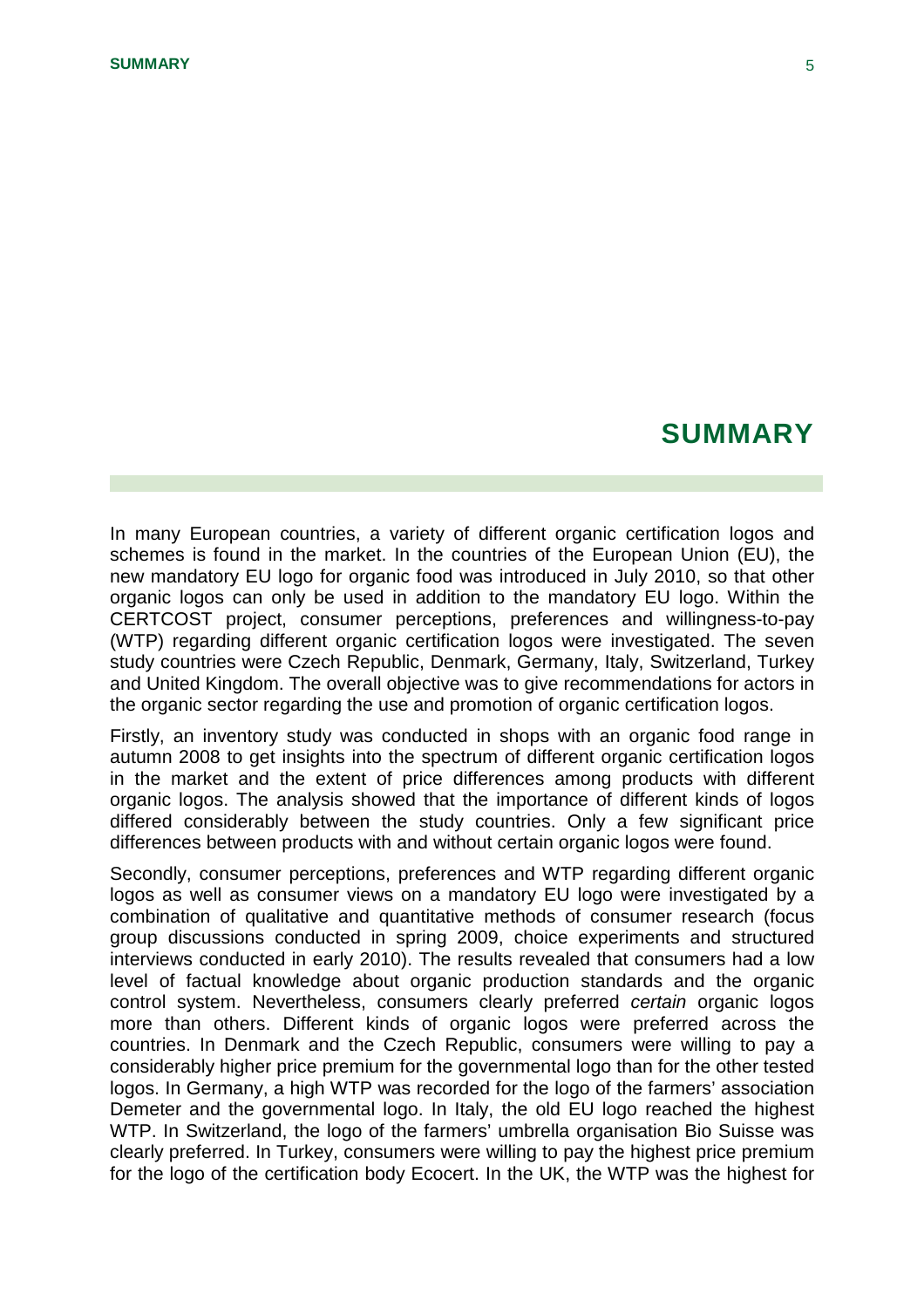## **SUMMARY**

In many European countries, a variety of different organic certification logos and schemes is found in the market. In the countries of the European Union (EU), the new mandatory EU logo for organic food was introduced in July 2010, so that other organic logos can only be used in addition to the mandatory EU logo. Within the CERTCOST project, consumer perceptions, preferences and willingness-to-pay (WTP) regarding different organic certification logos were investigated. The seven study countries were Czech Republic, Denmark, Germany, Italy, Switzerland, Turkey and United Kingdom. The overall objective was to give recommendations for actors in the organic sector regarding the use and promotion of organic certification logos.

Firstly, an inventory study was conducted in shops with an organic food range in autumn 2008 to get insights into the spectrum of different organic certification logos in the market and the extent of price differences among products with different organic logos. The analysis showed that the importance of different kinds of logos differed considerably between the study countries. Only a few significant price differences between products with and without certain organic logos were found.

Secondly, consumer perceptions, preferences and WTP regarding different organic logos as well as consumer views on a mandatory EU logo were investigated by a combination of qualitative and quantitative methods of consumer research (focus group discussions conducted in spring 2009, choice experiments and structured interviews conducted in early 2010). The results revealed that consumers had a low level of factual knowledge about organic production standards and the organic control system. Nevertheless, consumers clearly preferred *certain* organic logos more than others. Different kinds of organic logos were preferred across the countries. In Denmark and the Czech Republic, consumers were willing to pay a considerably higher price premium for the governmental logo than for the other tested logos. In Germany, a high WTP was recorded for the logo of the farmers' association Demeter and the governmental logo. In Italy, the old EU logo reached the highest WTP. In Switzerland, the logo of the farmers' umbrella organisation Bio Suisse was clearly preferred. In Turkey, consumers were willing to pay the highest price premium for the logo of the certification body Ecocert. In the UK, the WTP was the highest for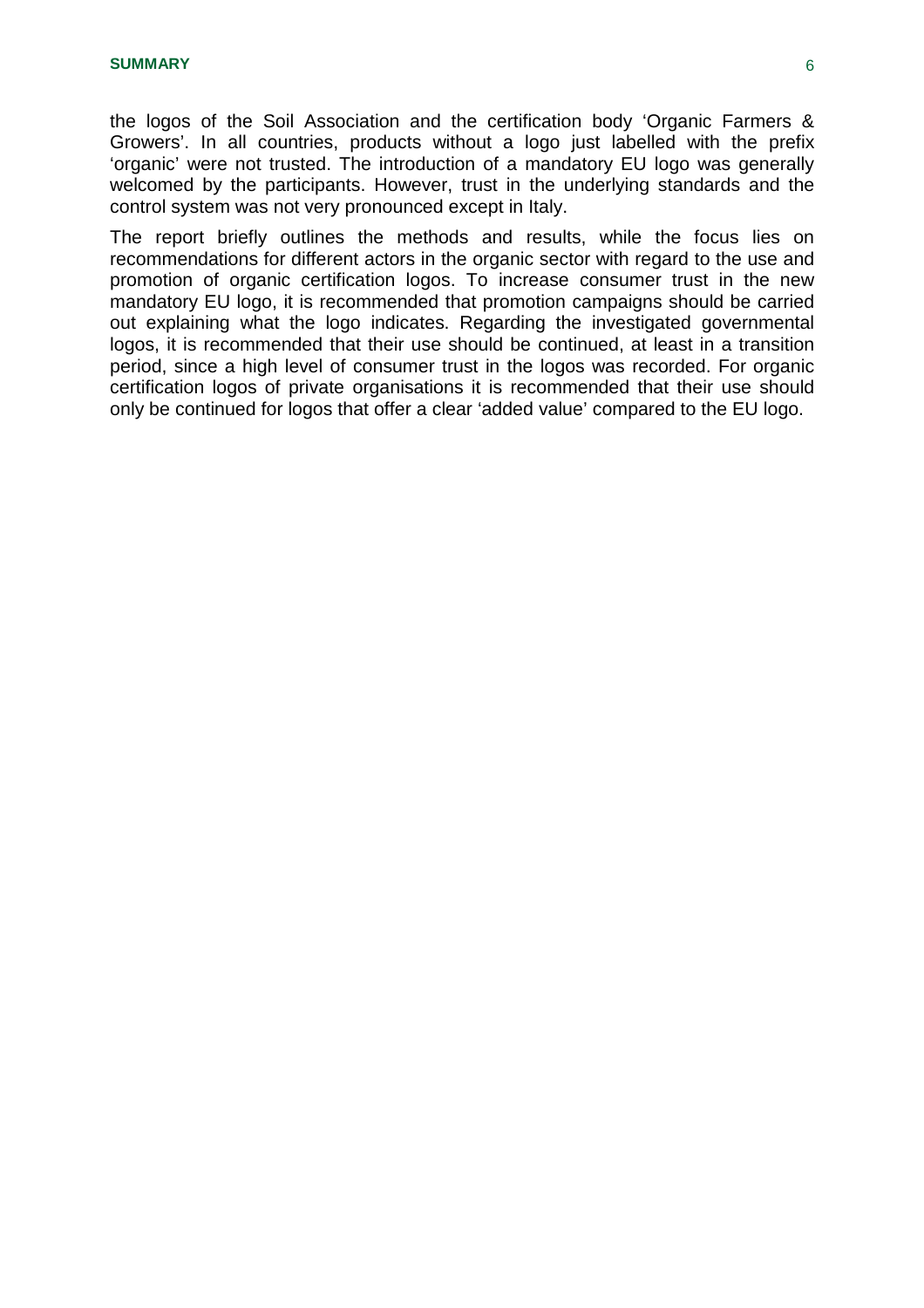the logos of the Soil Association and the certification body 'Organic Farmers & Growers'. In all countries, products without a logo just labelled with the prefix 'organic' were not trusted. The introduction of a mandatory EU logo was generally welcomed by the participants. However, trust in the underlying standards and the control system was not very pronounced except in Italy.

The report briefly outlines the methods and results, while the focus lies on recommendations for different actors in the organic sector with regard to the use and promotion of organic certification logos. To increase consumer trust in the new mandatory EU logo, it is recommended that promotion campaigns should be carried out explaining what the logo indicates. Regarding the investigated governmental logos, it is recommended that their use should be continued, at least in a transition period, since a high level of consumer trust in the logos was recorded. For organic certification logos of private organisations it is recommended that their use should only be continued for logos that offer a clear 'added value' compared to the EU logo.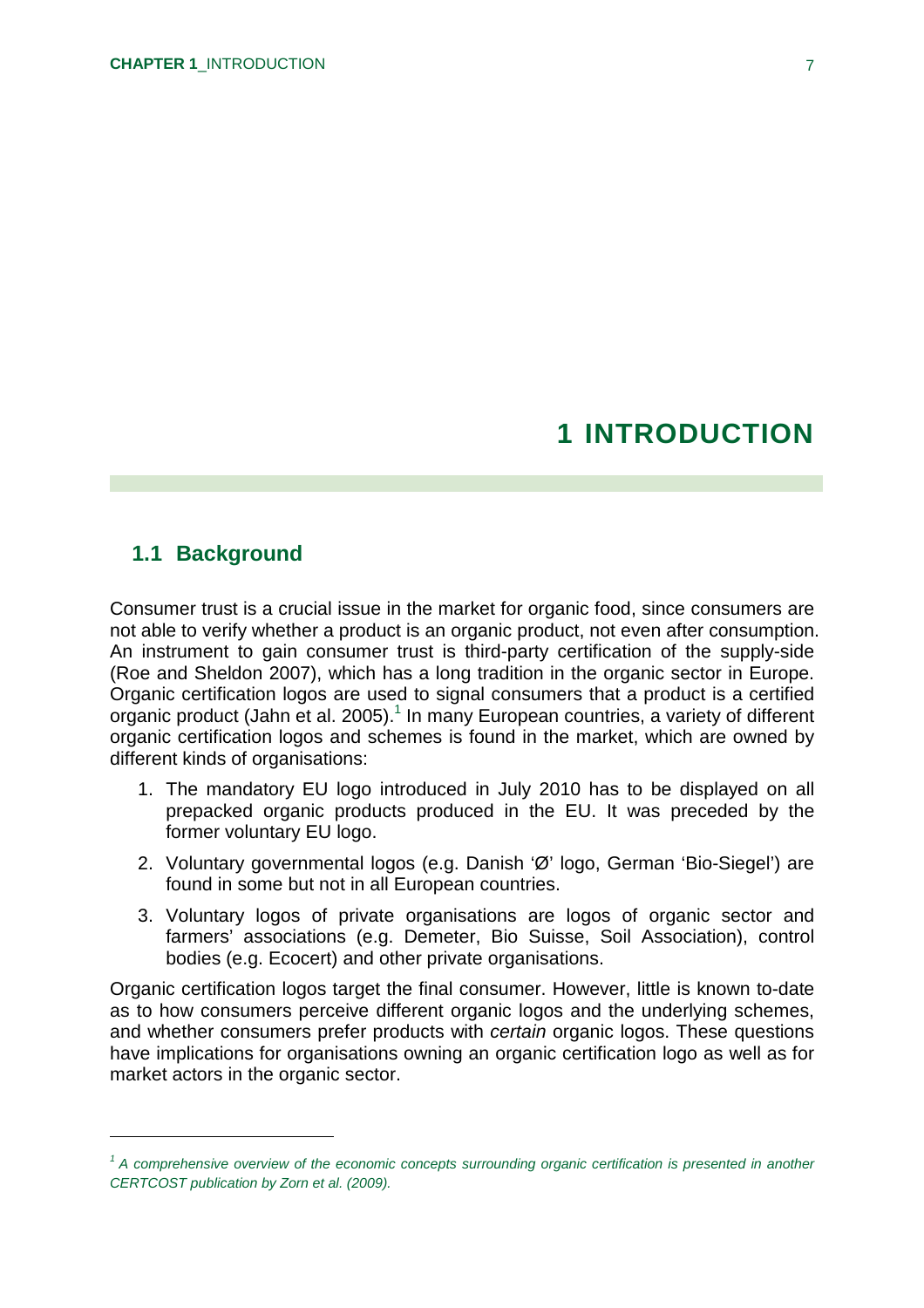# **1 INTRODUCTION**

#### **1.1 Background**

Consumer trust is a crucial issue in the market for organic food, since consumers are not able to verify whether a product is an organic product, not even after consumption. An instrument to gain consumer trust is third-party certification of the supply-side (Roe and Sheldon 2007), which has a long tradition in the organic sector in Europe. Organic certification logos are used to signal consumers that a product is a certified organic product (Jahn et al. 2005). 1 In many European countries, a variety of different organic certification logos and schemes is found in the market, which are owned by different kinds of organisations:

- 1. The mandatory EU logo introduced in July 2010 has to be displayed on all prepacked organic products produced in the EU. It was preceded by the former voluntary EU logo.
- 2. Voluntary governmental logos (e.g. Danish 'Ø' logo, German 'Bio-Siegel') are found in some but not in all European countries.
- 3. Voluntary logos of private organisations are logos of organic sector and farmers' associations (e.g. Demeter, Bio Suisse, Soil Association), control bodies (e.g. Ecocert) and other private organisations.

Organic certification logos target the final consumer. However, little is known to-date as to how consumers perceive different organic logos and the underlying schemes, and whether consumers prefer products with *certain* organic logos. These questions have implications for organisations owning an organic certification logo as well as for market actors in the organic sector.

<sup>&</sup>lt;sup>1</sup> A comprehensive overview of the economic concepts surrounding organic certification is presented in another *CERTCOST publication by Zorn et al. (2009).*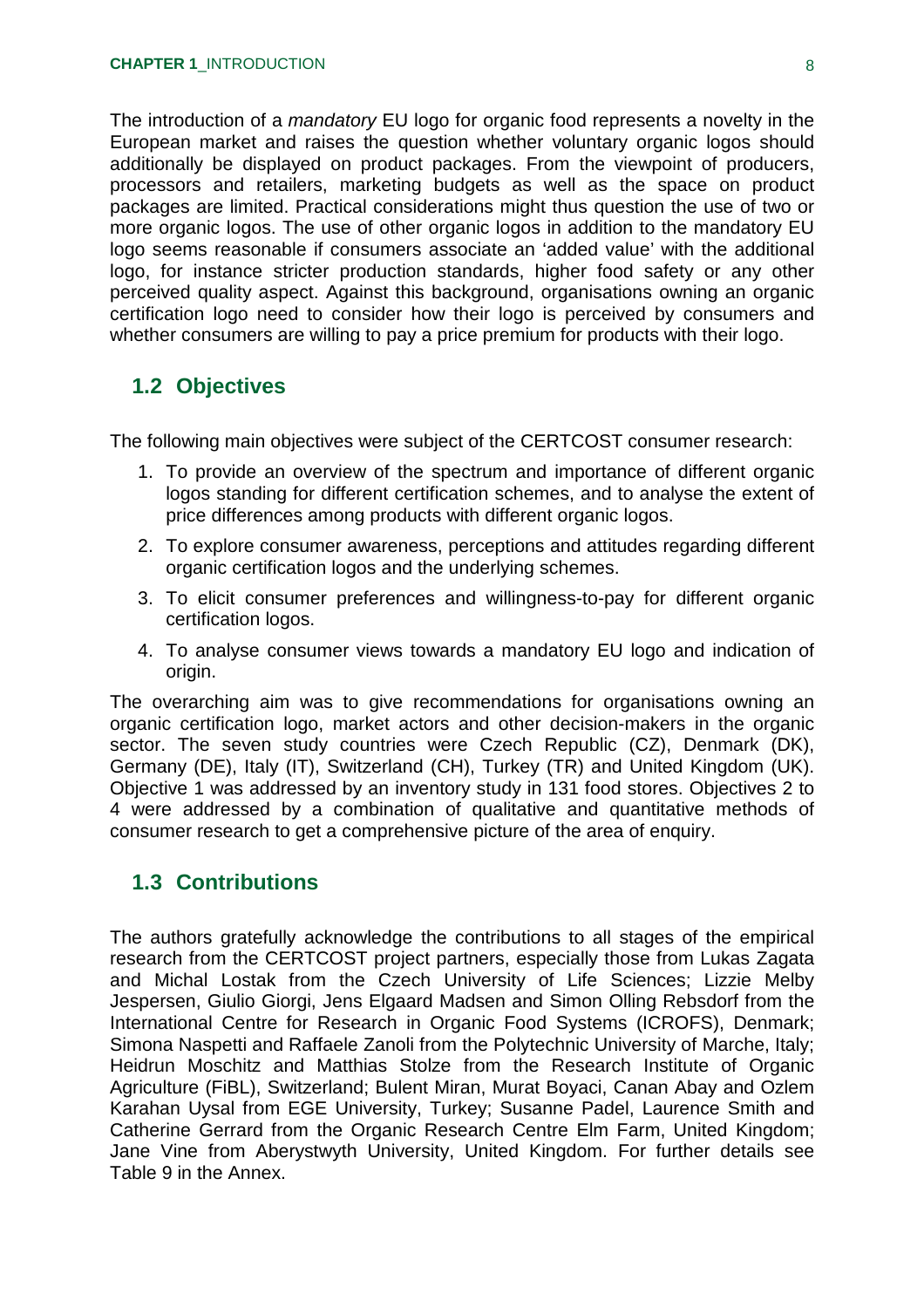The introduction of a *mandatory* EU logo for organic food represents a novelty in the European market and raises the question whether voluntary organic logos should additionally be displayed on product packages. From the viewpoint of producers, processors and retailers, marketing budgets as well as the space on product packages are limited. Practical considerations might thus question the use of two or more organic logos. The use of other organic logos in addition to the mandatory EU logo seems reasonable if consumers associate an 'added value' with the additional logo, for instance stricter production standards, higher food safety or any other perceived quality aspect. Against this background, organisations owning an organic certification logo need to consider how their logo is perceived by consumers and whether consumers are willing to pay a price premium for products with their logo.

### **1.2 Objectives**

The following main objectives were subject of the CERTCOST consumer research:

- 1. To provide an overview of the spectrum and importance of different organic logos standing for different certification schemes, and to analyse the extent of price differences among products with different organic logos.
- 2. To explore consumer awareness, perceptions and attitudes regarding different organic certification logos and the underlying schemes.
- 3. To elicit consumer preferences and willingness-to-pay for different organic certification logos.
- 4. To analyse consumer views towards a mandatory EU logo and indication of origin.

The overarching aim was to give recommendations for organisations owning an organic certification logo, market actors and other decision-makers in the organic sector. The seven study countries were Czech Republic (CZ), Denmark (DK), Germany (DE), Italy (IT), Switzerland (CH), Turkey (TR) and United Kingdom (UK). Objective 1 was addressed by an inventory study in 131 food stores. Objectives 2 to 4 were addressed by a combination of qualitative and quantitative methods of consumer research to get a comprehensive picture of the area of enquiry.

#### **1.3 Contributions**

The authors gratefully acknowledge the contributions to all stages of the empirical research from the CERTCOST project partners, especially those from Lukas Zagata and Michal Lostak from the Czech University of Life Sciences; Lizzie Melby Jespersen, Giulio Giorgi, Jens Elgaard Madsen and Simon Olling Rebsdorf from the International Centre for Research in Organic Food Systems (ICROFS), Denmark; Simona Naspetti and Raffaele Zanoli from the Polytechnic University of Marche, Italy; Heidrun Moschitz and Matthias Stolze from the Research Institute of Organic Agriculture (FiBL), Switzerland; Bulent Miran, Murat Boyaci, Canan Abay and Ozlem Karahan Uysal from EGE University, Turkey; Susanne Padel, Laurence Smith and Catherine Gerrard from the Organic Research Centre Elm Farm, United Kingdom; Jane Vine from Aberystwyth University, United Kingdom. For further details see Table 9 in the Annex.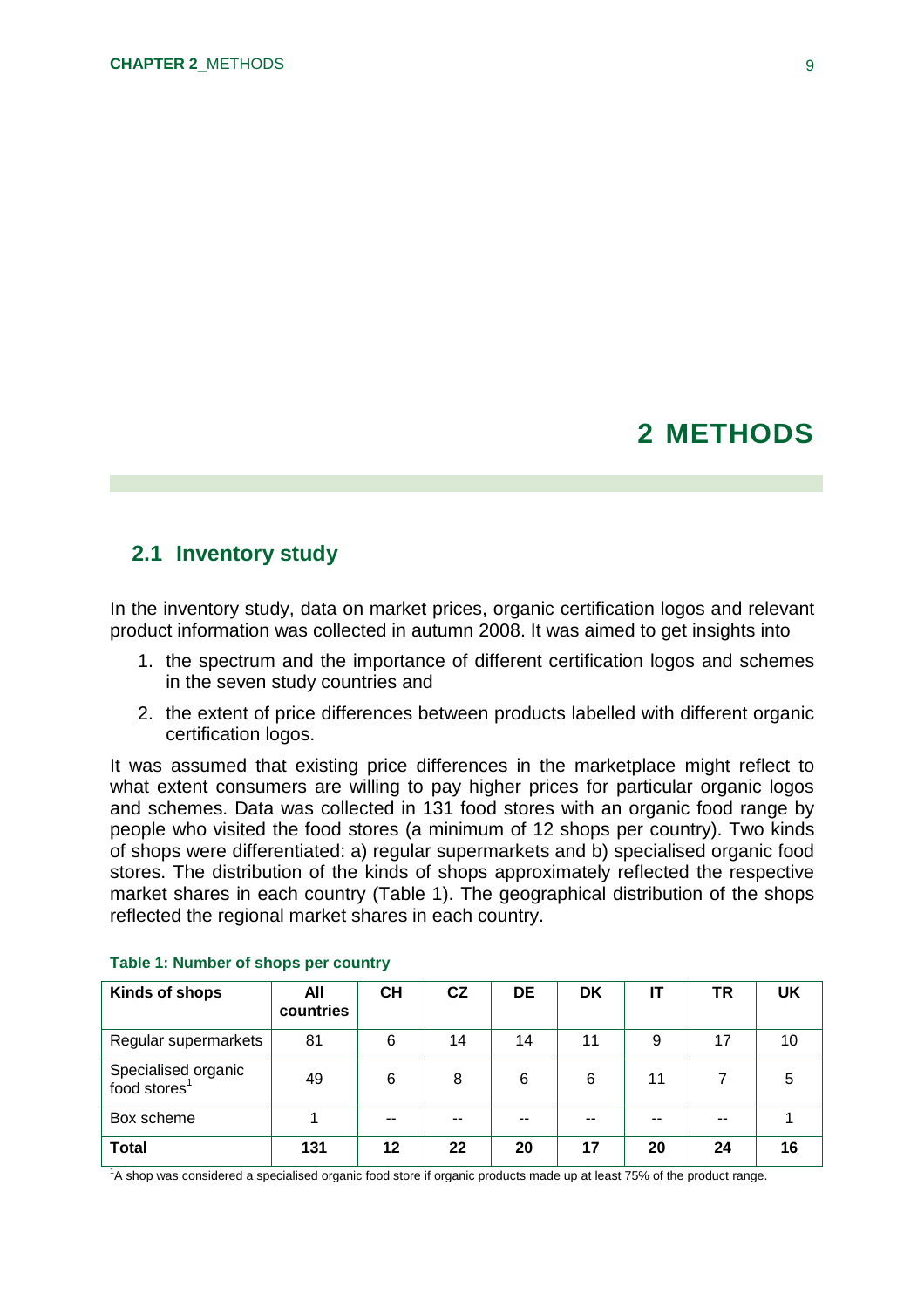## **2 METHODS**

#### **2.1 Inventory study**

In the inventory study, data on market prices, organic certification logos and relevant product information was collected in autumn 2008. It was aimed to get insights into

- 1. the spectrum and the importance of different certification logos and schemes in the seven study countries and
- 2. the extent of price differences between products labelled with different organic certification logos.

It was assumed that existing price differences in the marketplace might reflect to what extent consumers are willing to pay higher prices for particular organic logos and schemes. Data was collected in 131 food stores with an organic food range by people who visited the food stores (a minimum of 12 shops per country). Two kinds of shops were differentiated: a) regular supermarkets and b) specialised organic food stores. The distribution of the kinds of shops approximately reflected the respective market shares in each country (Table 1). The geographical distribution of the shops reflected the regional market shares in each country.

| Kinds of shops                                  | All<br>countries | CН | CZ | <b>DE</b> | DK    | IT | TR | <b>UK</b> |
|-------------------------------------------------|------------------|----|----|-----------|-------|----|----|-----------|
| Regular supermarkets                            | 81               | 6  | 14 | 14        | 11    | 9  | 17 | 10        |
| Specialised organic<br>food stores <sup>1</sup> | 49               | 6  | 8  | 6         | 6     | 11 |    | 5         |
| Box scheme                                      |                  |    | -- |           | $- -$ |    | -- |           |
| <b>Total</b>                                    | 131              | 12 | 22 | 20        | 17    | 20 | 24 | 16        |

#### **Table 1: Number of shops per country**

<sup>1</sup>A shop was considered a specialised organic food store if organic products made up at least 75% of the product range.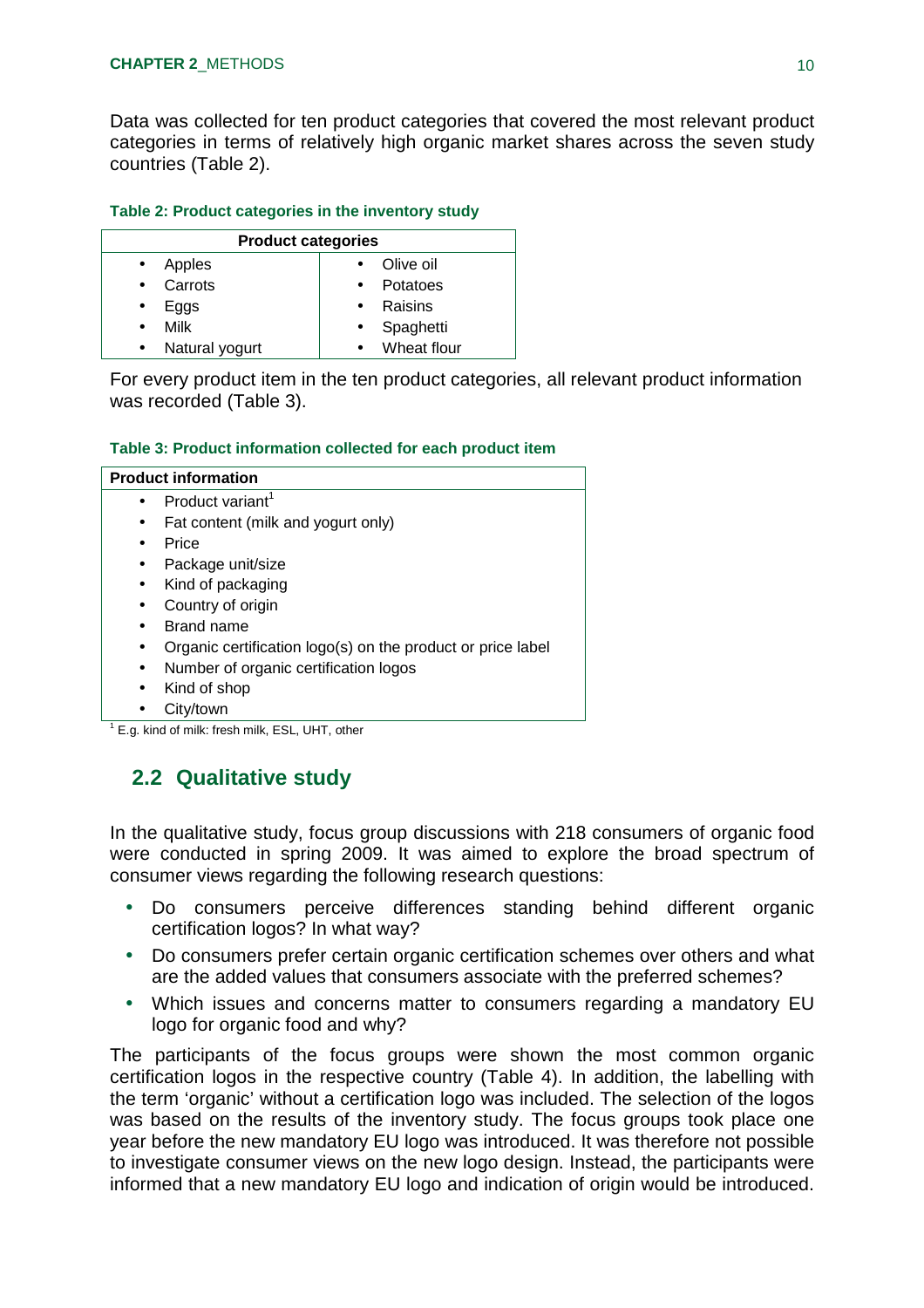Data was collected for ten product categories that covered the most relevant product categories in terms of relatively high organic market shares across the seven study countries (Table 2).

#### **Table 2: Product categories in the inventory study**

| <b>Product categories</b> |                |           |             |  |  |  |  |  |
|---------------------------|----------------|-----------|-------------|--|--|--|--|--|
| $\bullet$                 | Apples         |           | Olive oil   |  |  |  |  |  |
| $\bullet$                 | Carrots        |           | Potatoes    |  |  |  |  |  |
|                           | Eggs           | $\bullet$ | Raisins     |  |  |  |  |  |
|                           | Milk           | $\bullet$ | Spaghetti   |  |  |  |  |  |
|                           | Natural yogurt |           | Wheat flour |  |  |  |  |  |

For every product item in the ten product categories, all relevant product information was recorded (Table 3).

#### **Table 3: Product information collected for each product item**

| <b>Product information</b> |                                                             |  |  |  |  |
|----------------------------|-------------------------------------------------------------|--|--|--|--|
| $\bullet$                  | Product variant <sup>1</sup>                                |  |  |  |  |
|                            | Fat content (milk and yogurt only)                          |  |  |  |  |
|                            | Price                                                       |  |  |  |  |
|                            | Package unit/size                                           |  |  |  |  |
| $\bullet$                  | Kind of packaging                                           |  |  |  |  |
|                            | Country of origin                                           |  |  |  |  |
|                            | Brand name                                                  |  |  |  |  |
|                            | Organic certification logo(s) on the product or price label |  |  |  |  |
| $\bullet$                  | Number of organic certification logos                       |  |  |  |  |
| $\bullet$                  | Kind of shop                                                |  |  |  |  |
|                            | City/town                                                   |  |  |  |  |
|                            | E.g. kind of milk: fresh milk, ESL, UHT, other              |  |  |  |  |

### **2.2 Qualitative study**

In the qualitative study, focus group discussions with 218 consumers of organic food were conducted in spring 2009. It was aimed to explore the broad spectrum of consumer views regarding the following research questions:

- Do consumers perceive differences standing behind different organic certification logos? In what way?
- Do consumers prefer certain organic certification schemes over others and what are the added values that consumers associate with the preferred schemes?
- Which issues and concerns matter to consumers regarding a mandatory EU logo for organic food and why?

The participants of the focus groups were shown the most common organic certification logos in the respective country (Table 4). In addition, the labelling with the term 'organic' without a certification logo was included. The selection of the logos was based on the results of the inventory study. The focus groups took place one year before the new mandatory EU logo was introduced. It was therefore not possible to investigate consumer views on the new logo design. Instead, the participants were informed that a new mandatory EU logo and indication of origin would be introduced.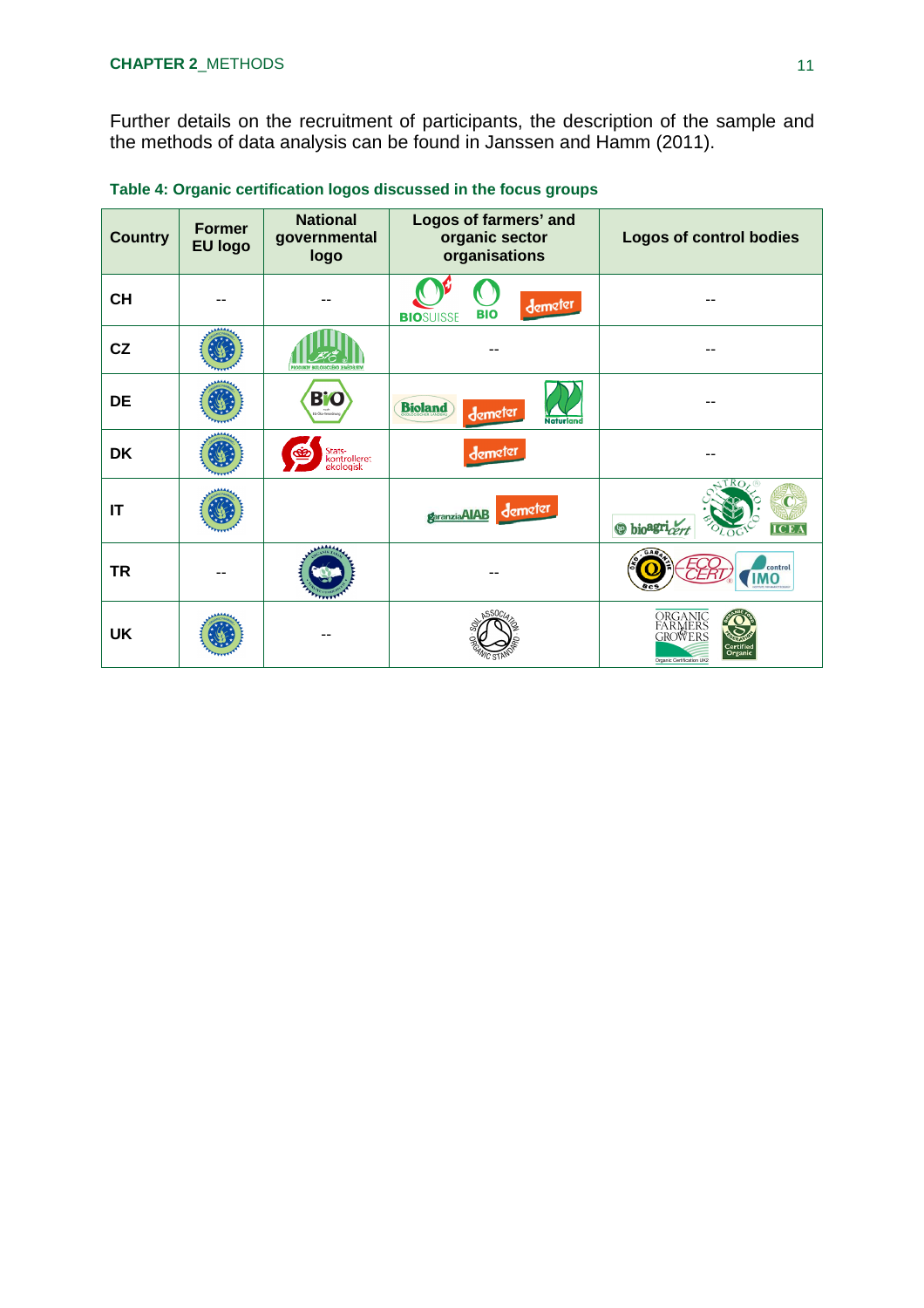Further details on the recruitment of participants, the description of the sample and the methods of data analysis can be found in Janssen and Hamm (2011).

| <b>Country</b>         | <b>Former</b><br><b>EU logo</b> | <b>National</b><br>governmental<br>logo | Logos of farmers' and<br>organic sector<br>organisations | <b>Logos of control bodies</b>                                                     |
|------------------------|---------------------------------|-----------------------------------------|----------------------------------------------------------|------------------------------------------------------------------------------------|
| <b>CH</b>              |                                 |                                         | demeter<br><b>BIO</b><br><b>BIOSUISSE</b>                |                                                                                    |
| CZ                     |                                 |                                         |                                                          |                                                                                    |
| <b>DE</b>              |                                 | B'O<br>rach<br>EG Öliz-Verordnung       | <b>Bioland</b><br>demeter<br><b>Naturland</b>            |                                                                                    |
| <b>DK</b>              |                                 | Stats-<br>kontrolleret<br>ekologisk     | demeter                                                  |                                                                                    |
| $\mathsf{I}\mathsf{T}$ |                                 |                                         | garanziaAIAB demeter                                     | TRO<br><b>O</b> bio <sup>agri</sup> cert<br><b>ICEA</b>                            |
| <b>TR</b>              |                                 |                                         |                                                          | control<br><b>IMO</b>                                                              |
| <b>UK</b>              |                                 |                                         |                                                          | ORGANIC<br>FARMERS<br>GROWERS<br>Certified<br>Organic<br>Organic Certification UK2 |

**Table 4: Organic certification logos discussed in the focus groups**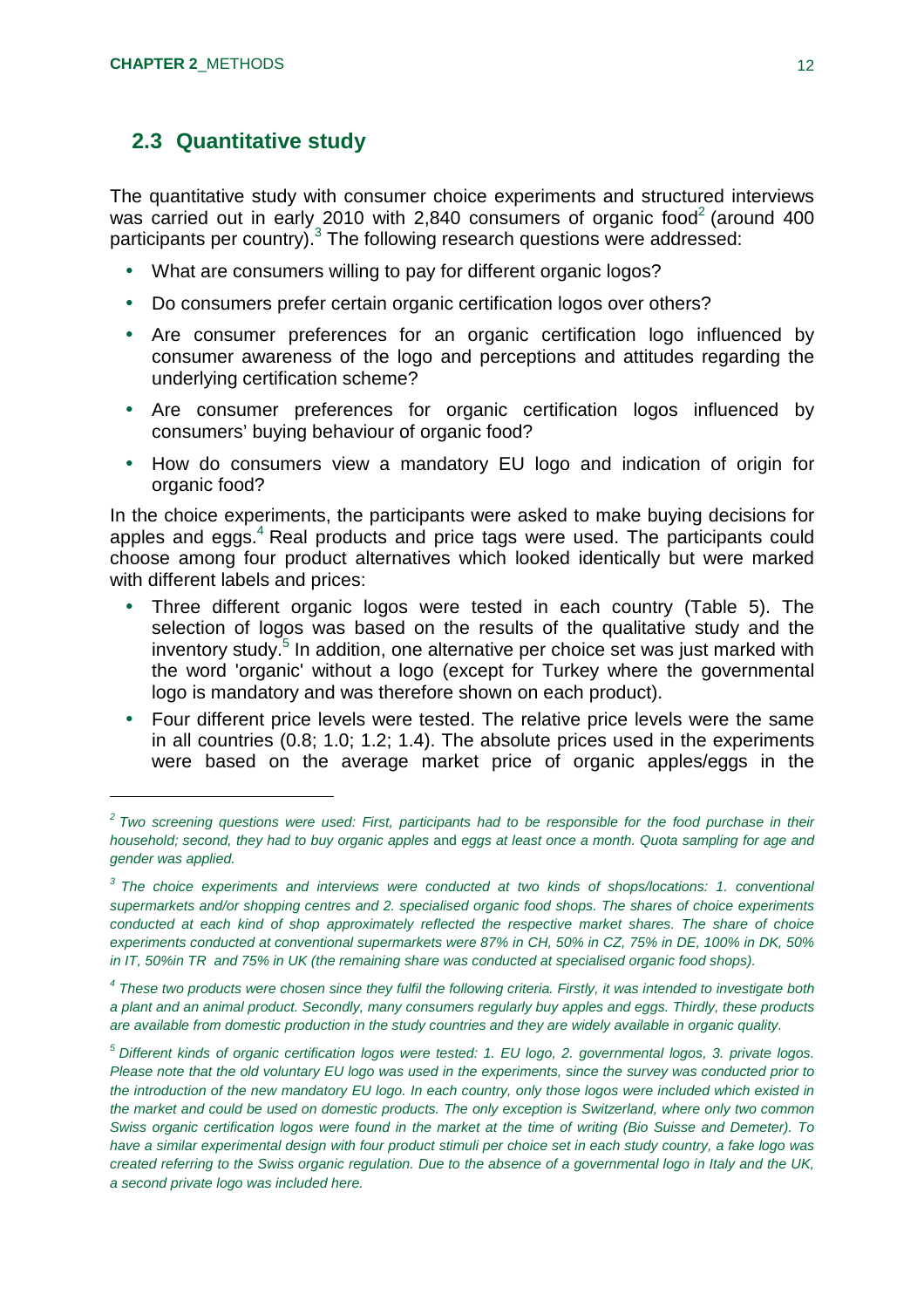### **2.3 Quantitative study**

The quantitative study with consumer choice experiments and structured interviews was carried out in early 2010 with 2,840 consumers of organic food<sup>2</sup> (around 400 participants per country).<sup>3</sup> The following research questions were addressed:

- What are consumers willing to pay for different organic logos?
- Do consumers prefer certain organic certification logos over others?
- Are consumer preferences for an organic certification logo influenced by consumer awareness of the logo and perceptions and attitudes regarding the underlying certification scheme?
- Are consumer preferences for organic certification logos influenced by consumers' buying behaviour of organic food?
- How do consumers view a mandatory EU logo and indication of origin for organic food?

In the choice experiments, the participants were asked to make buying decisions for apples and eggs. $4$  Real products and price tags were used. The participants could choose among four product alternatives which looked identically but were marked with different labels and prices:

- Three different organic logos were tested in each country (Table 5). The selection of logos was based on the results of the qualitative study and the inventory study.<sup>5</sup> In addition, one alternative per choice set was just marked with the word 'organic' without a logo (except for Turkey where the governmental logo is mandatory and was therefore shown on each product).
- Four different price levels were tested. The relative price levels were the same in all countries (0.8; 1.0; 1.2; 1.4). The absolute prices used in the experiments were based on the average market price of organic apples/eggs in the

*<sup>2</sup> Two screening questions were used: First, participants had to be responsible for the food purchase in their household; second, they had to buy organic apples* and *eggs at least once a month. Quota sampling for age and gender was applied.*

<sup>&</sup>lt;sup>3</sup> The choice experiments and interviews were conducted at two kinds of shops/locations: 1. conventional *supermarkets and/or shopping centres and 2. specialised organic food shops. The shares of choice experiments conducted at each kind of shop approximately reflected the respective market shares. The share of choice experiments conducted at conventional supermarkets were 87% in CH, 50% in CZ, 75% in DE, 100% in DK, 50% in IT, 50%in TR and 75% in UK (the remaining share was conducted at specialised organic food shops).*

*<sup>4</sup> These two products were chosen since they fulfil the following criteria. Firstly, it was intended to investigate both a plant and an animal product. Secondly, many consumers regularly buy apples and eggs. Thirdly, these products are available from domestic production in the study countries and they are widely available in organic quality.*

*<sup>5</sup> Different kinds of organic certification logos were tested: 1. EU logo, 2. governmental logos, 3. private logos. Please note that the old voluntary EU logo was used in the experiments, since the survey was conducted prior to the introduction of the new mandatory EU logo. In each country, only those logos were included which existed in the market and could be used on domestic products. The only exception is Switzerland, where only two common Swiss organic certification logos were found in the market at the time of writing (Bio Suisse and Demeter). To have a similar experimental design with four product stimuli per choice set in each study country, a fake logo was created referring to the Swiss organic regulation. Due to the absence of a governmental logo in Italy and the UK, a second private logo was included here.*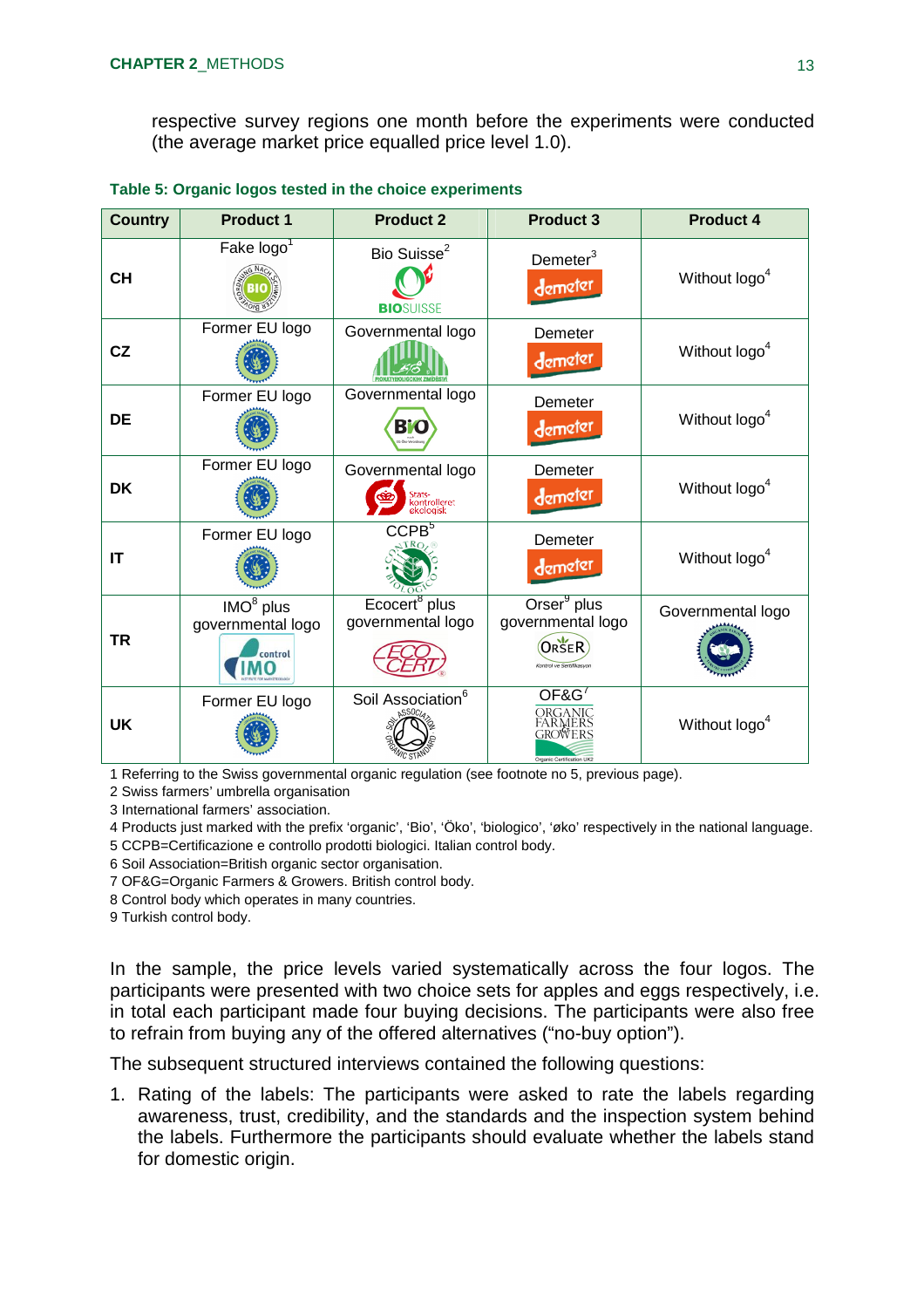respective survey regions one month before the experiments were conducted (the average market price equalled price level 1.0).

| <b>Country</b> | <b>Product 1</b>                                      | <b>Product 2</b>                                         | <b>Product 3</b>                                                                  | <b>Product 4</b>          |
|----------------|-------------------------------------------------------|----------------------------------------------------------|-----------------------------------------------------------------------------------|---------------------------|
| <b>CH</b>      | Fake $\log o^1$                                       | Bio Suisse <sup>2</sup><br><b>BIOSUISSE</b>              | Demeter <sup>3</sup><br>demeter                                                   | Without logo <sup>4</sup> |
| CZ             | Former EU logo                                        | Governmental logo                                        | Demeter<br>demeter                                                                | Without logo <sup>4</sup> |
| <b>DE</b>      | Former EU logo                                        | Governmental logo<br>B'O                                 | Demeter<br>demeter                                                                | Without logo <sup>4</sup> |
| <b>DK</b>      | Former EU logo                                        | Governmental logo<br>Stats-<br>kontrolleret<br>ekologisk | Demeter<br>demeter                                                                | Without logo <sup>4</sup> |
| IT             | Former EU logo                                        | CCPB <sup>5</sup>                                        | Demeter<br>demeter                                                                | Without logo <sup>4</sup> |
| TR             | IMO <sup>8</sup> plus<br>governmental logo<br>control | Ecocert <sup>8</sup> plus<br>governmental logo           | Orser <sup>9</sup> plus<br>governmental logo<br>ORSER<br>Kontrol ve Sertifikasyon | Governmental logo         |
| <b>UK</b>      | Former EU logo                                        | Soil Association <sup>6</sup>                            | OF&G <sup>'</sup><br>ORGANIC<br>FARMERS<br>GROWERS<br>Organic Certification UK2   | Without logo <sup>4</sup> |

**Table 5: Organic logos tested in the choice experiments**

1 Referring to the Swiss governmental organic regulation (see footnote no 5, previous page).

2 Swiss farmers' umbrella organisation

3 International farmers' association.

4 Products just marked with the prefix 'organic', 'Bio', 'Öko', 'biologico', 'øko' respectively in the national language.

5 CCPB=Certificazione e controllo prodotti biologici. Italian control body.

6 Soil Association=British organic sector organisation.

7 OF&G=Organic Farmers & Growers. British control body.

8 Control body which operates in many countries.

9 Turkish control body.

In the sample, the price levels varied systematically across the four logos. The participants were presented with two choice sets for apples and eggs respectively, i.e. in total each participant made four buying decisions. The participants were also free to refrain from buying any of the offered alternatives ("no-buy option").

The subsequent structured interviews contained the following questions:

1. Rating of the labels: The participants were asked to rate the labels regarding awareness, trust, credibility, and the standards and the inspection system behind the labels. Furthermore the participants should evaluate whether the labels stand for domestic origin.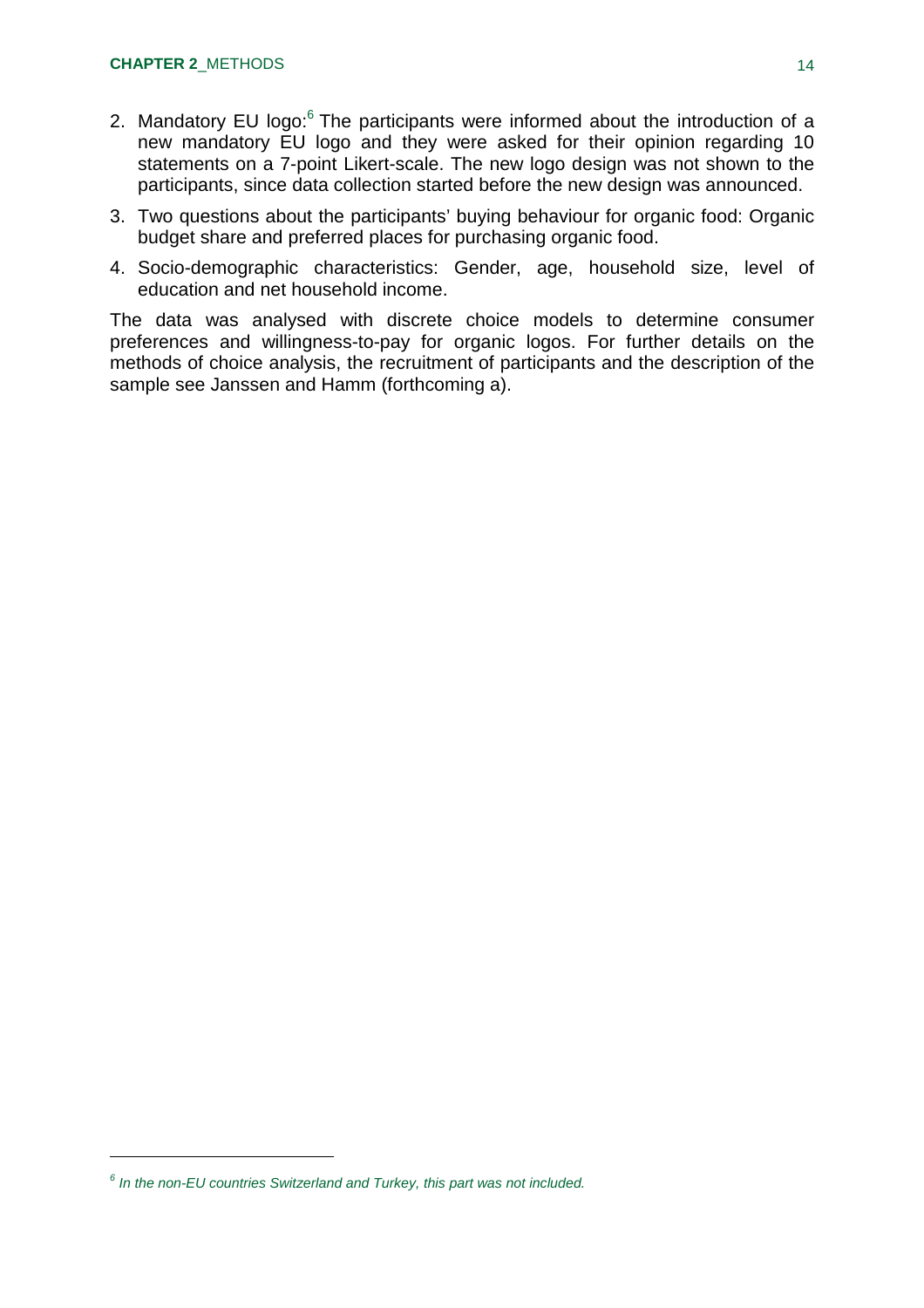- 2. Mandatory EU logo: $6$  The participants were informed about the introduction of a new mandatory EU logo and they were asked for their opinion regarding 10 statements on a 7-point Likert-scale. The new logo design was not shown to the participants, since data collection started before the new design was announced.
- 3. Two questions about the participants' buying behaviour for organic food: Organic budget share and preferred places for purchasing organic food.
- 4. Socio-demographic characteristics: Gender, age, household size, level of education and net household income.

The data was analysed with discrete choice models to determine consumer preferences and willingness-to-pay for organic logos. For further details on the methods of choice analysis, the recruitment of participants and the description of the sample see Janssen and Hamm (forthcoming a).

*<sup>6</sup> In the non-EU countries Switzerland and Turkey, this part was not included.*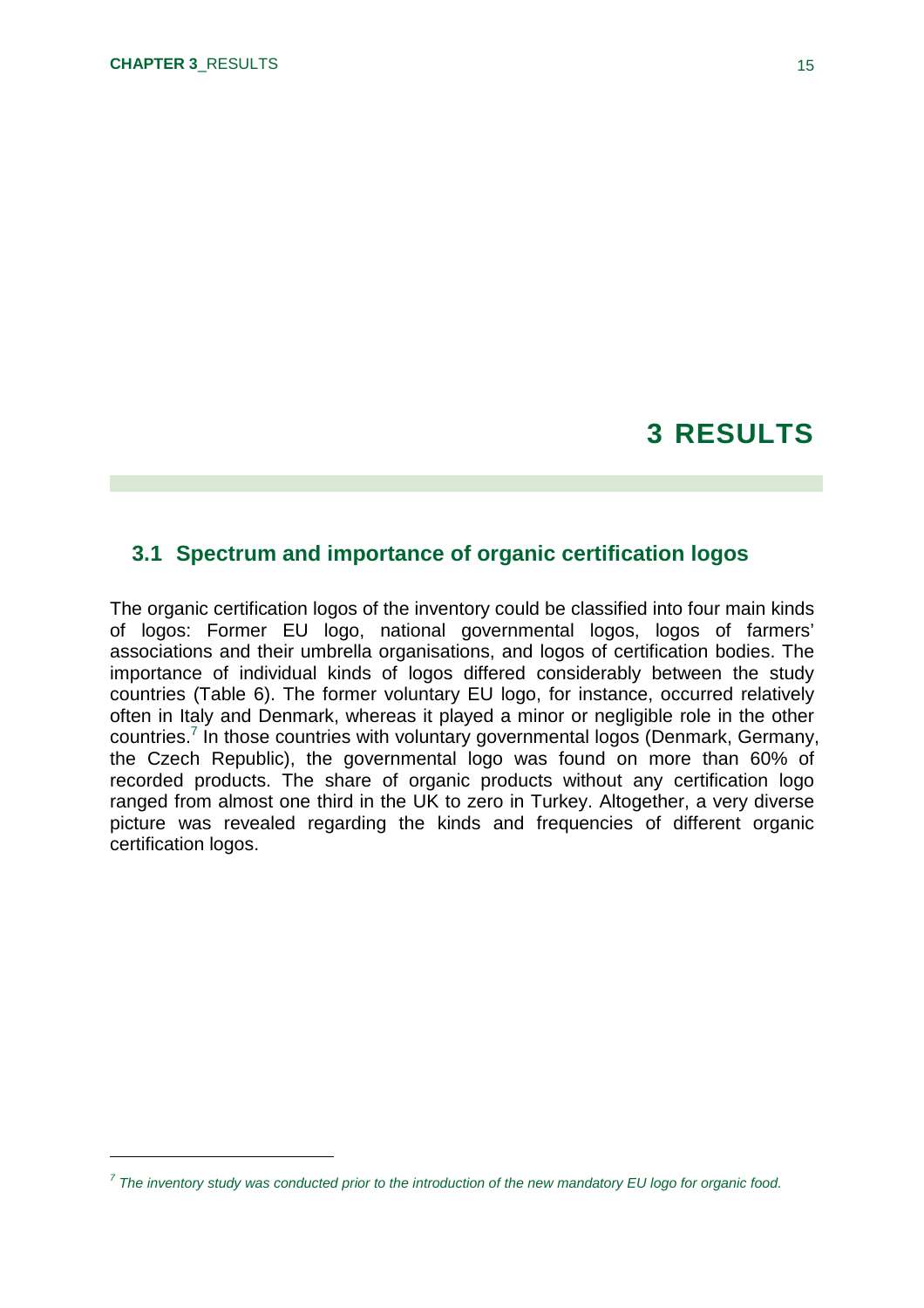## **3 RESULTS**

#### **3.1 Spectrum and importance of organic certification logos**

The organic certification logos of the inventory could be classified into four main kinds of logos: Former EU logo, national governmental logos, logos of farmers' associations and their umbrella organisations, and logos of certification bodies. The importance of individual kinds of logos differed considerably between the study countries (Table 6). The former voluntary EU logo, for instance, occurred relatively often in Italy and Denmark, whereas it played a minor or negligible role in the other countries.<sup>7</sup> In those countries with voluntary governmental logos (Denmark, Germany, the Czech Republic), the governmental logo was found on more than 60% of recorded products. The share of organic products without any certification logo ranged from almost one third in the UK to zero in Turkey. Altogether, a very diverse picture was revealed regarding the kinds and frequencies of different organic certification logos.

*<sup>7</sup> The inventory study was conducted prior to the introduction of the new mandatory EU logo for organic food.*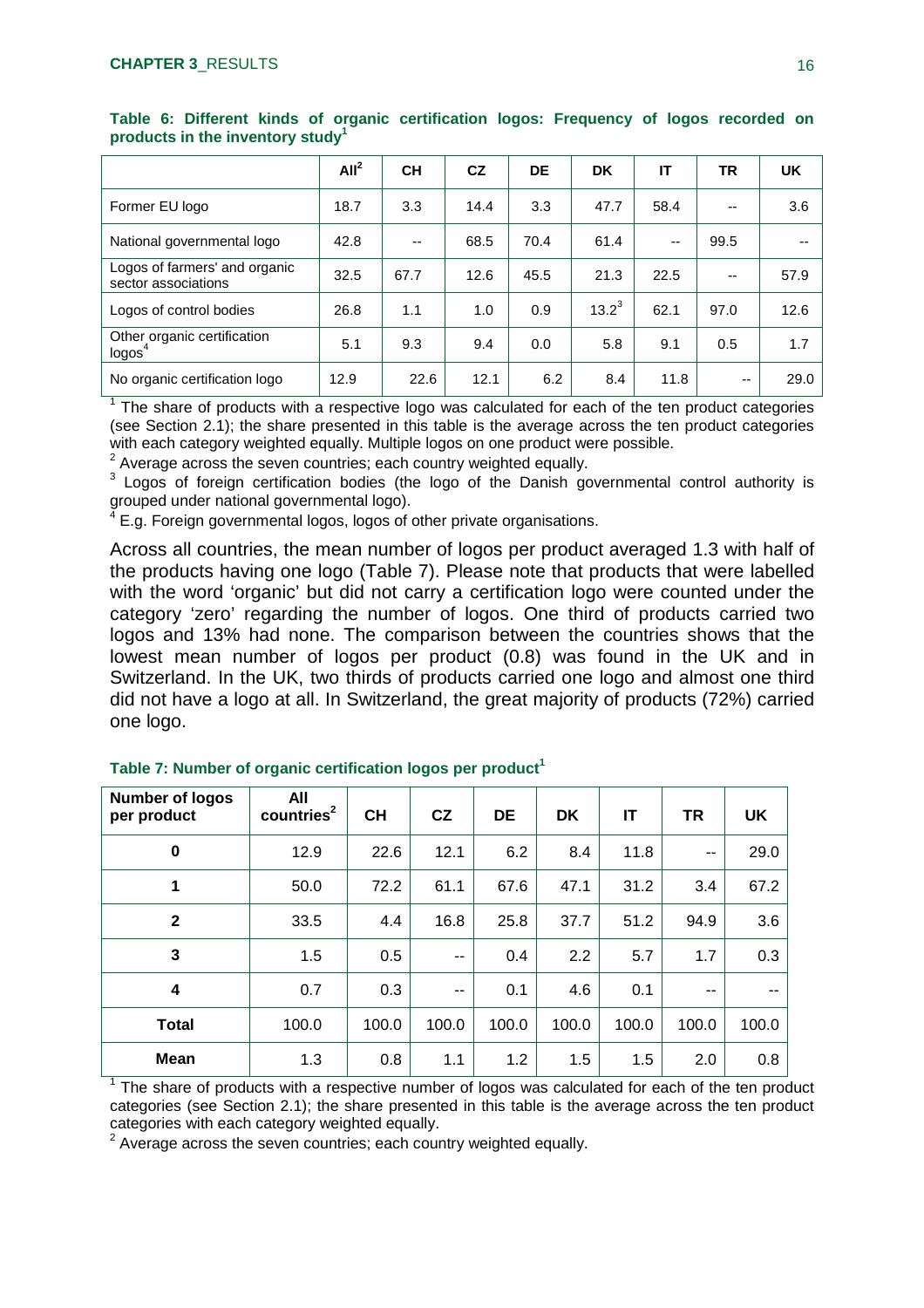|                                                      | All <sup>2</sup> | <b>CH</b> | CZ   | DE   | <b>DK</b> | ΙT   | <b>TR</b> | <b>UK</b> |
|------------------------------------------------------|------------------|-----------|------|------|-----------|------|-----------|-----------|
| Former EU logo                                       | 18.7             | 3.3       | 14.4 | 3.3  | 47.7      | 58.4 | --        | 3.6       |
| National governmental logo                           | 42.8             | $\sim$    | 68.5 | 70.4 | 61.4      | --   | 99.5      |           |
| Logos of farmers' and organic<br>sector associations | 32.5             | 67.7      | 12.6 | 45.5 | 21.3      | 22.5 | --        | 57.9      |
| Logos of control bodies                              | 26.8             | 1.1       | 1.0  | 0.9  | $13.2^3$  | 62.1 | 97.0      | 12.6      |
| Other organic certification<br>logos <sup>4</sup>    | 5.1              | 9.3       | 9.4  | 0.0  | 5.8       | 9.1  | 0.5       | 1.7       |
| No organic certification logo                        | 12.9             | 22.6      | 12.1 | 6.2  | 8.4       | 11.8 | --        | 29.0      |

**Table 6: Different kinds of organic certification logos: Frequency of logos recorded on products in the inventory study<sup>1</sup>**

 $1$  The share of products with a respective logo was calculated for each of the ten product categories (see Section 2.1); the share presented in this table is the average across the ten product categories with each category weighted equally. Multiple logos on one product were possible.

 $2$  Average across the seven countries; each country weighted equally.

 $3$  Logos of foreign certification bodies (the logo of the Danish governmental control authority is grouped under national governmental logo).

 $4$  E.g. Foreign governmental logos, logos of other private organisations.

Across all countries, the mean number of logos per product averaged 1.3 with half of the products having one logo (Table 7). Please note that products that were labelled with the word 'organic' but did not carry a certification logo were counted under the category 'zero' regarding the number of logos. One third of products carried two logos and 13% had none. The comparison between the countries shows that the lowest mean number of logos per product (0.8) was found in the UK and in Switzerland. In the UK, two thirds of products carried one logo and almost one third did not have a logo at all. In Switzerland, the great majority of products (72%) carried one logo.

| <b>Number of logos</b><br>per product | All<br>countries <sup>2</sup> | <b>CH</b> | CZ            | <b>DE</b> | <b>DK</b> | IT    | <b>TR</b> | UK    |
|---------------------------------------|-------------------------------|-----------|---------------|-----------|-----------|-------|-----------|-------|
| $\bf{0}$                              | 12.9                          | 22.6      | 12.1          | 6.2       | 8.4       | 11.8  | $- -$     | 29.0  |
| 1                                     | 50.0                          | 72.2      | 61.1          | 67.6      | 47.1      | 31.2  | 3.4       | 67.2  |
| $\mathbf{2}$                          | 33.5                          | 4.4       | 16.8          | 25.8      | 37.7      | 51.2  | 94.9      | 3.6   |
| 3                                     | 1.5                           | 0.5       | $\sim$ $\sim$ | 0.4       | 2.2       | 5.7   | 1.7       | 0.3   |
| 4                                     | 0.7                           | 0.3       | $\sim$ $\sim$ | 0.1       | 4.6       | 0.1   | --        |       |
| <b>Total</b>                          | 100.0                         | 100.0     | 100.0         | 100.0     | 100.0     | 100.0 | 100.0     | 100.0 |
| <b>Mean</b>                           | 1.3                           | 0.8       | 1.1           | 1.2       | 1.5       | 1.5   | 2.0       | 0.8   |

 $1$  The share of products with a respective number of logos was calculated for each of the ten product categories (see Section 2.1); the share presented in this table is the average across the ten product categories with each category weighted equally.

 $2$  Average across the seven countries; each country weighted equally.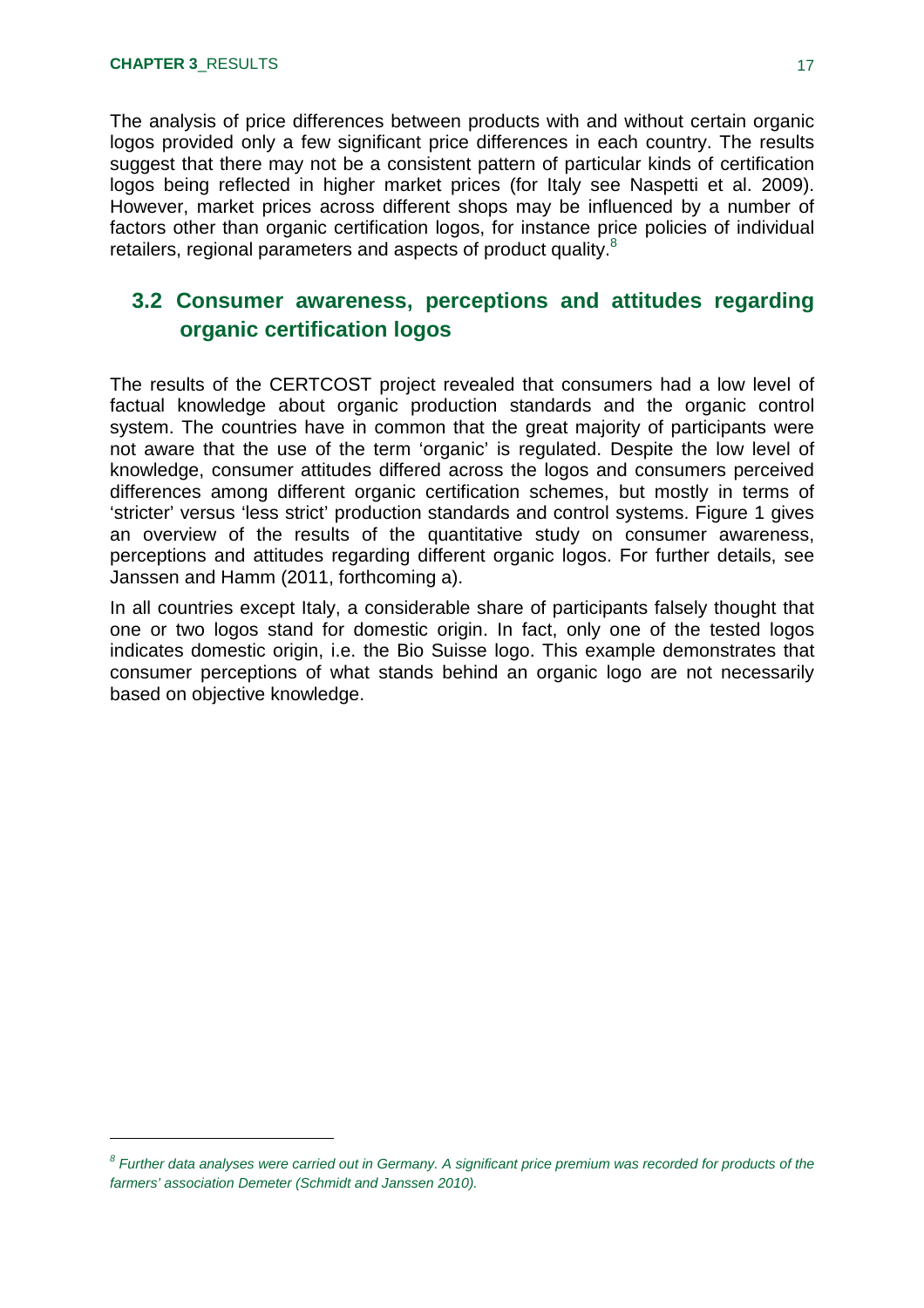The analysis of price differences between products with and without certain organic logos provided only a few significant price differences in each country. The results suggest that there may not be a consistent pattern of particular kinds of certification logos being reflected in higher market prices (for Italy see Naspetti et al. 2009). However, market prices across different shops may be influenced by a number of factors other than organic certification logos, for instance price policies of individual retailers, regional parameters and aspects of product quality.<sup>8</sup>

### **3.2 Consumer awareness, perceptions and attitudes regarding organic certification logos**

The results of the CERTCOST project revealed that consumers had a low level of factual knowledge about organic production standards and the organic control system. The countries have in common that the great majority of participants were not aware that the use of the term 'organic' is regulated. Despite the low level of knowledge, consumer attitudes differed across the logos and consumers perceived differences among different organic certification schemes, but mostly in terms of 'stricter' versus 'less strict' production standards and control systems. Figure 1 gives an overview of the results of the quantitative study on consumer awareness, perceptions and attitudes regarding different organic logos. For further details, see Janssen and Hamm (2011, forthcoming a).

In all countries except Italy, a considerable share of participants falsely thought that one or two logos stand for domestic origin. In fact, only one of the tested logos indicates domestic origin, i.e. the Bio Suisse logo. This example demonstrates that consumer perceptions of what stands behind an organic logo are not necessarily based on objective knowledge.

<sup>&</sup>lt;sup>8</sup> Further data analyses were carried out in Germany. A significant price premium was recorded for products of the *farmers' association Demeter (Schmidt and Janssen 2010).*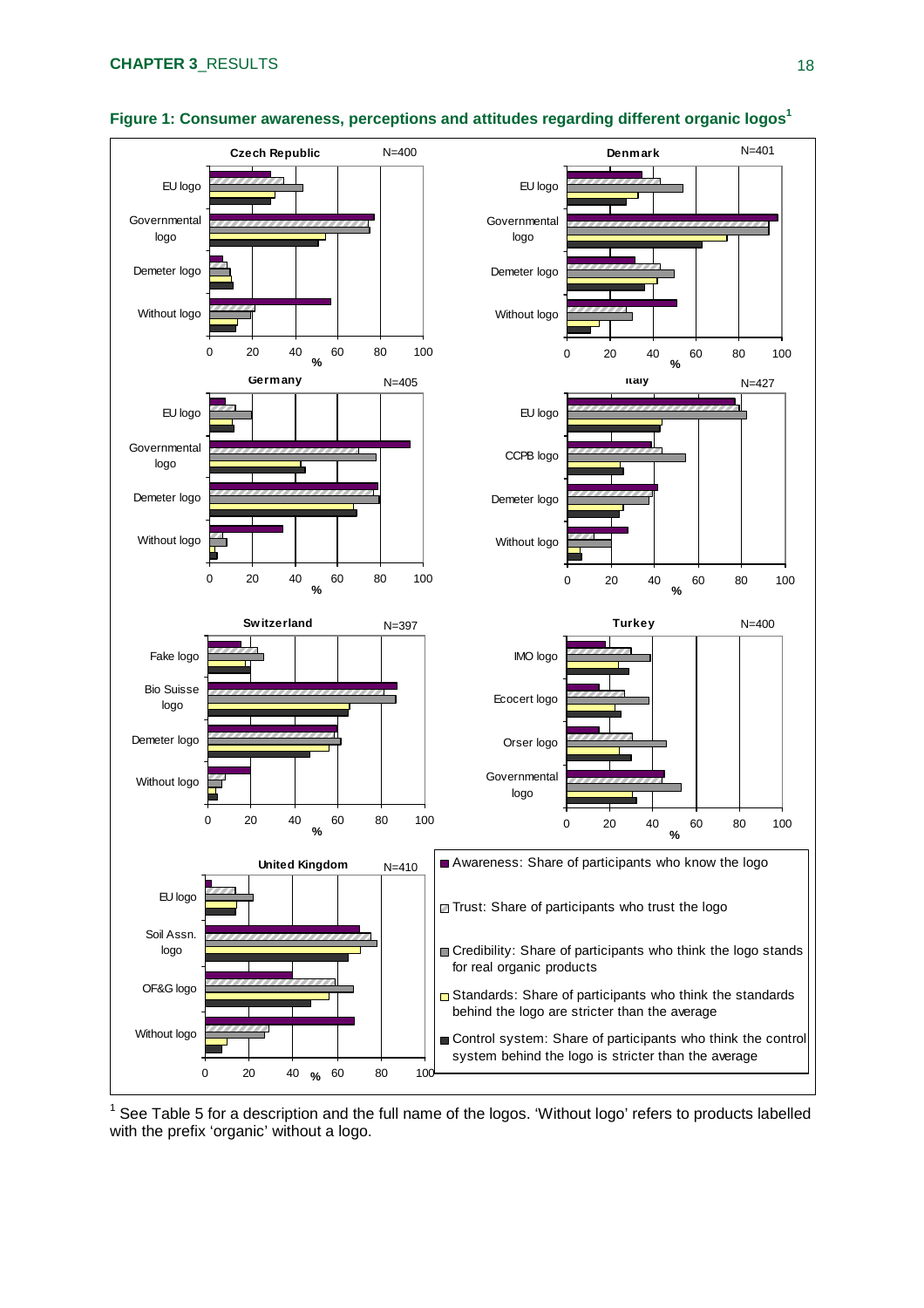

#### **Figure 1: Consumer awareness, perceptions and attitudes regarding different organic logos<sup>1</sup>**

 $1$  See Table 5 for a description and the full name of the logos. 'Without logo' refers to products labelled with the prefix 'organic' without a logo.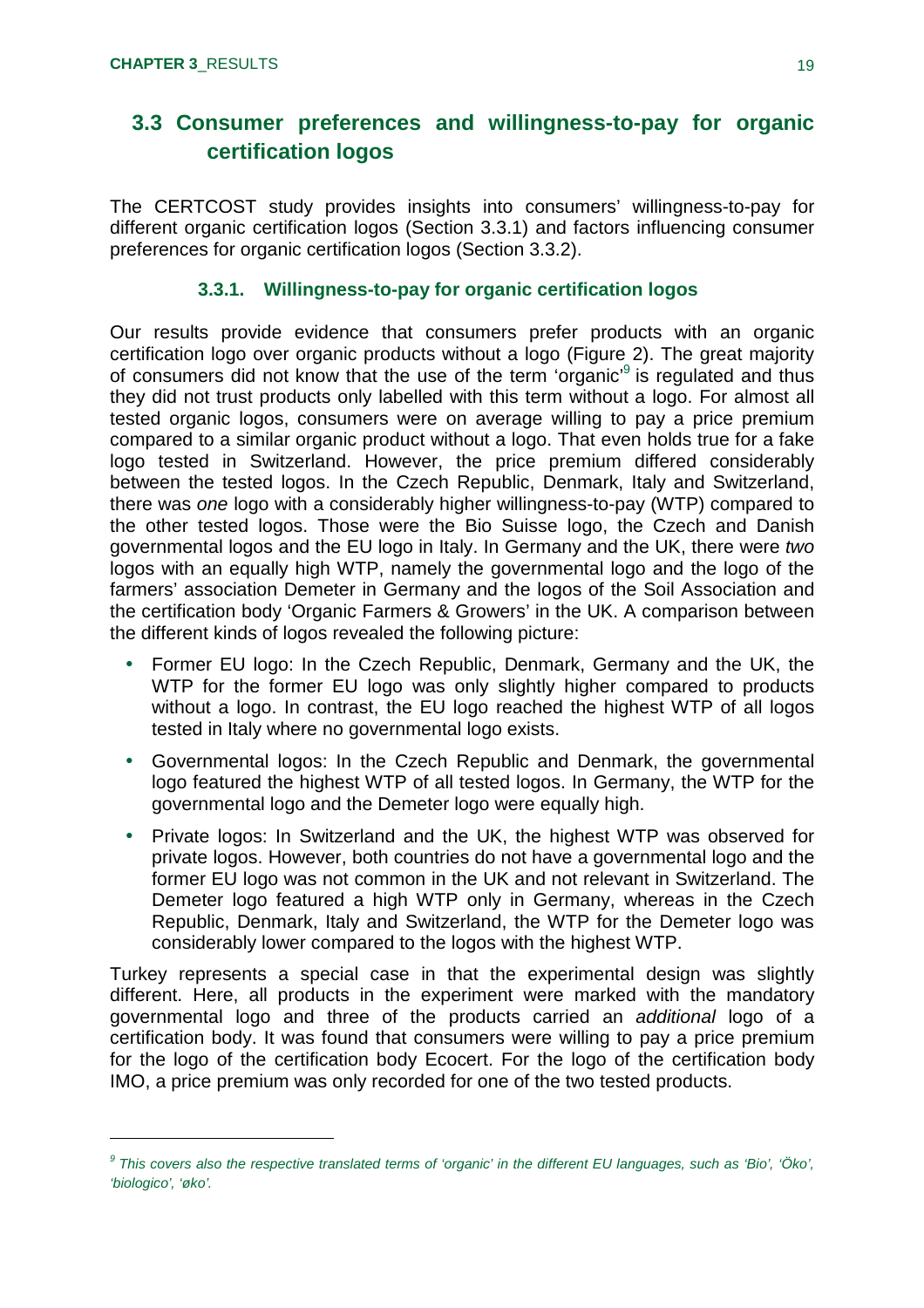### **3.3 Consumer preferences and willingness-to-pay for organic certification logos**

The CERTCOST study provides insights into consumers' willingness-to-pay for different organic certification logos (Section 3.3.1) and factors influencing consumer preferences for organic certification logos (Section 3.3.2).

#### **3.3.1. Willingness-to-pay for organic certification logos**

Our results provide evidence that consumers prefer products with an organic certification logo over organic products without a logo (Figure 2). The great majority of consumers did not know that the use of the term 'organic'<sup>9</sup> is regulated and thus they did not trust products only labelled with this term without a logo. For almost all tested organic logos, consumers were on average willing to pay a price premium compared to a similar organic product without a logo. That even holds true for a fake logo tested in Switzerland. However, the price premium differed considerably between the tested logos. In the Czech Republic, Denmark, Italy and Switzerland, there was *one* logo with a considerably higher willingness-to-pay (WTP) compared to the other tested logos. Those were the Bio Suisse logo, the Czech and Danish governmental logos and the EU logo in Italy. In Germany and the UK, there were *two* logos with an equally high WTP, namely the governmental logo and the logo of the farmers' association Demeter in Germany and the logos of the Soil Association and the certification body 'Organic Farmers & Growers' in the UK. A comparison between the different kinds of logos revealed the following picture:

- Former EU logo: In the Czech Republic, Denmark, Germany and the UK, the WTP for the former EU logo was only slightly higher compared to products without a logo. In contrast, the EU logo reached the highest WTP of all logos tested in Italy where no governmental logo exists.
- Governmental logos: In the Czech Republic and Denmark, the governmental logo featured the highest WTP of all tested logos. In Germany, the WTP for the governmental logo and the Demeter logo were equally high.
- Private logos: In Switzerland and the UK, the highest WTP was observed for private logos. However, both countries do not have a governmental logo and the former EU logo was not common in the UK and not relevant in Switzerland. The Demeter logo featured a high WTP only in Germany, whereas in the Czech Republic, Denmark, Italy and Switzerland, the WTP for the Demeter logo was considerably lower compared to the logos with the highest WTP.

Turkey represents a special case in that the experimental design was slightly different. Here, all products in the experiment were marked with the mandatory governmental logo and three of the products carried an *additional* logo of a certification body. It was found that consumers were willing to pay a price premium for the logo of the certification body Ecocert. For the logo of the certification body IMO, a price premium was only recorded for one of the two tested products.

*<sup>9</sup> This covers also the respective translated terms of 'organic' in the different EU languages, such as 'Bio', 'Öko', 'biologico', 'øko'.*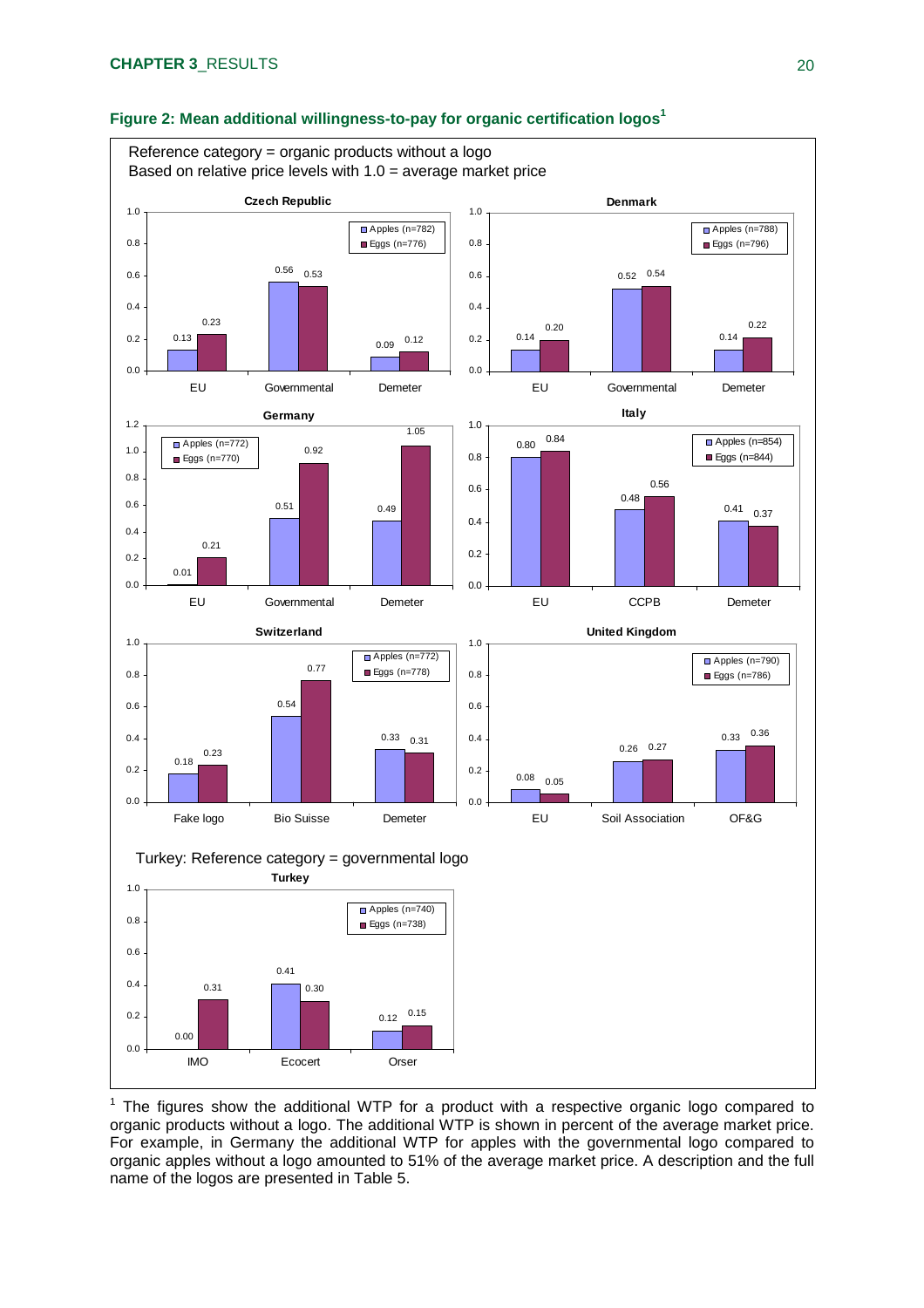

#### **Figure 2: Mean additional willingness-to-pay for organic certification logos<sup>1</sup>**

 $1$  The figures show the additional WTP for a product with a respective organic logo compared to organic products without a logo. The additional WTP is shown in percent of the average market price. For example, in Germany the additional WTP for apples with the governmental logo compared to organic apples without a logo amounted to 51% of the average market price. A description and the full name of the logos are presented in Table 5.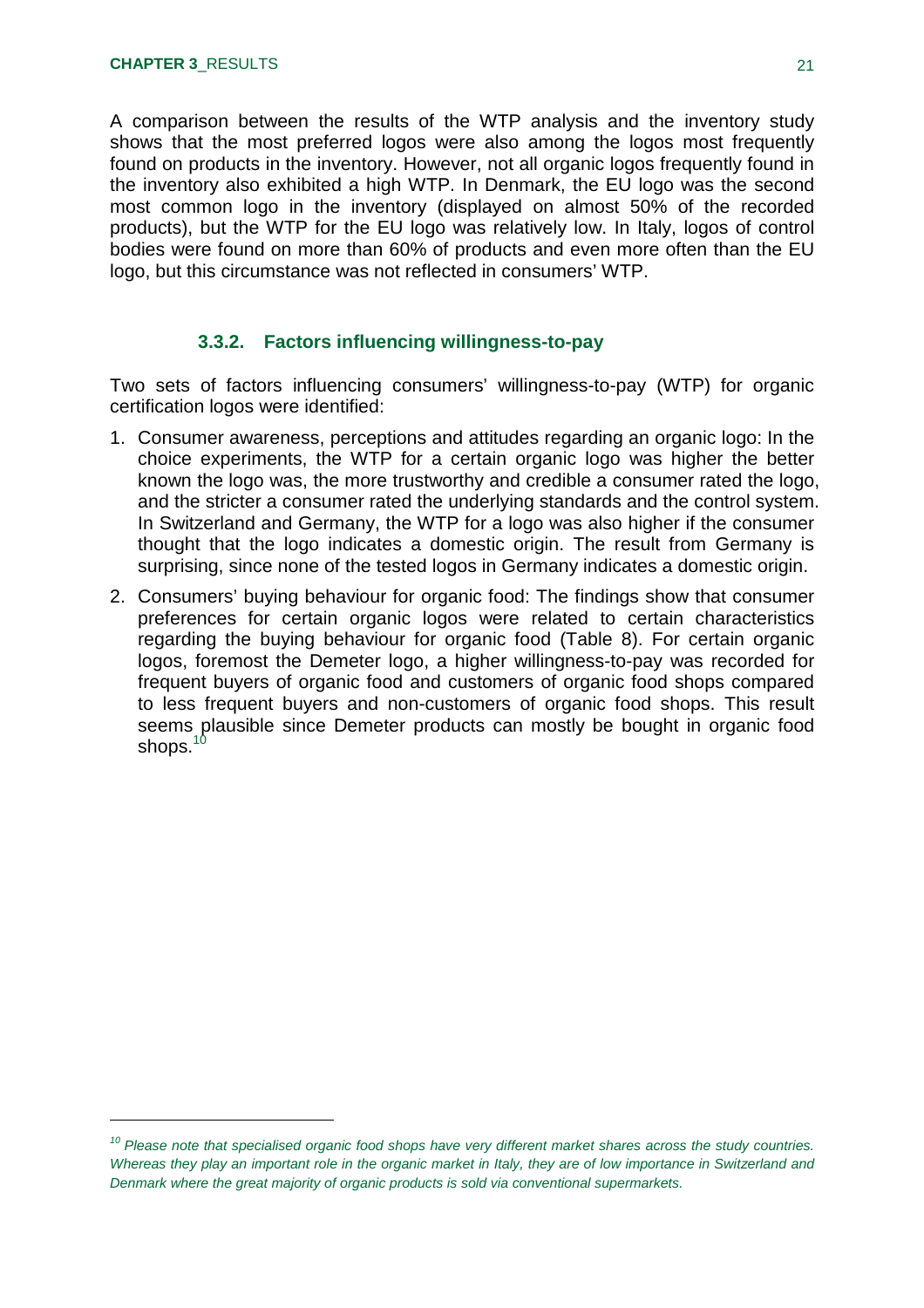A comparison between the results of the WTP analysis and the inventory study shows that the most preferred logos were also among the logos most frequently found on products in the inventory. However, not all organic logos frequently found in the inventory also exhibited a high WTP. In Denmark, the EU logo was the second most common logo in the inventory (displayed on almost 50% of the recorded products), but the WTP for the EU logo was relatively low. In Italy, logos of control bodies were found on more than 60% of products and even more often than the EU logo, but this circumstance was not reflected in consumers' WTP.

#### **3.3.2. Factors influencing willingness-to-pay**

Two sets of factors influencing consumers' willingness-to-pay (WTP) for organic certification logos were identified:

- 1. Consumer awareness, perceptions and attitudes regarding an organic logo: In the choice experiments, the WTP for a certain organic logo was higher the better known the logo was, the more trustworthy and credible a consumer rated the logo, and the stricter a consumer rated the underlying standards and the control system. In Switzerland and Germany, the WTP for a logo was also higher if the consumer thought that the logo indicates a domestic origin. The result from Germany is surprising, since none of the tested logos in Germany indicates a domestic origin.
- 2. Consumers' buying behaviour for organic food: The findings show that consumer preferences for certain organic logos were related to certain characteristics regarding the buying behaviour for organic food (Table 8). For certain organic logos, foremost the Demeter logo, a higher willingness-to-pay was recorded for frequent buyers of organic food and customers of organic food shops compared to less frequent buyers and non-customers of organic food shops. This result seems plausible since Demeter products can mostly be bought in organic food shops. $^{\rm 10}$

*<sup>10</sup> Please note that specialised organic food shops have very different market shares across the study countries. Whereas they play an important role in the organic market in Italy, they are of low importance in Switzerland and Denmark where the great majority of organic products is sold via conventional supermarkets.*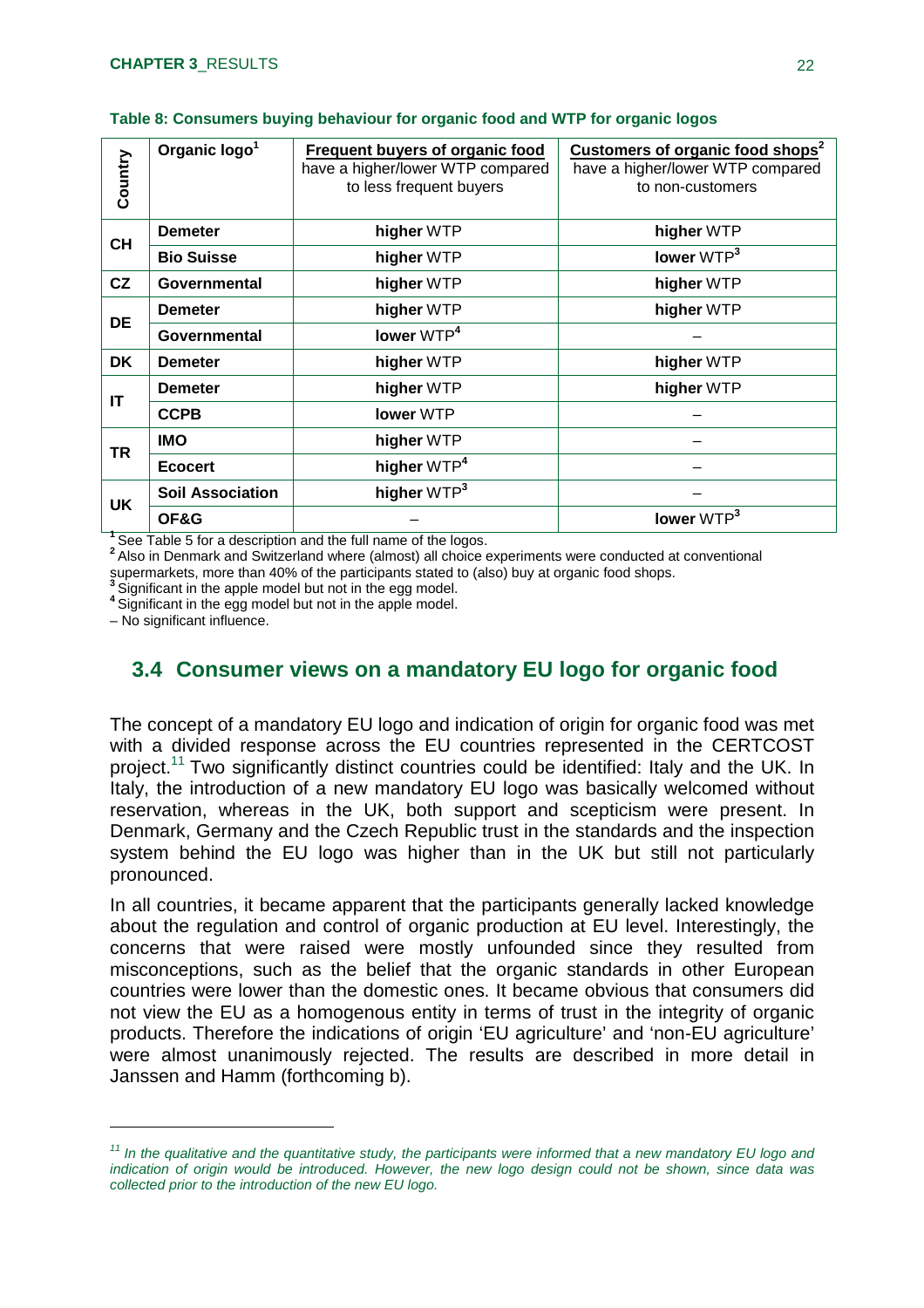| Country   | Organic logo <sup>1</sup> | Frequent buyers of organic food<br>have a higher/lower WTP compared<br>to less frequent buyers | Customers of organic food shops <sup>2</sup><br>have a higher/lower WTP compared<br>to non-customers |
|-----------|---------------------------|------------------------------------------------------------------------------------------------|------------------------------------------------------------------------------------------------------|
| <b>CH</b> | <b>Demeter</b>            | higher WTP                                                                                     | higher WTP                                                                                           |
|           | <b>Bio Suisse</b>         | higher WTP                                                                                     | lower WTP <sup>3</sup>                                                                               |
| CZ        | Governmental              | higher WTP                                                                                     | higher WTP                                                                                           |
| <b>DE</b> | <b>Demeter</b>            | higher WTP                                                                                     | higher WTP                                                                                           |
|           | Governmental              | lower WTP <sup>4</sup>                                                                         |                                                                                                      |
| DK.       | <b>Demeter</b>            | higher WTP                                                                                     | higher WTP                                                                                           |
| IT        | <b>Demeter</b>            | higher WTP                                                                                     | higher WTP                                                                                           |
|           | <b>CCPB</b>               | lower WTP                                                                                      |                                                                                                      |
| <b>TR</b> | <b>IMO</b>                | higher WTP                                                                                     |                                                                                                      |
|           | <b>Ecocert</b>            | higher WTP <sup>4</sup>                                                                        |                                                                                                      |
| <b>UK</b> | <b>Soil Association</b>   | higher WTP <sup>3</sup>                                                                        |                                                                                                      |
|           | OF&G                      |                                                                                                | lower $WTP3$                                                                                         |

**<sup>1</sup>**See Table 5 for a description and the full name of the logos.

**<sup>2</sup>**Also in Denmark and Switzerland where (almost) all choice experiments were conducted at conventional supermarkets, more than 40% of the participants stated to (also) buy at organic food shops.

**<sup>3</sup>**Significant in the apple model but not in the egg model.

**4** Significant in the egg model but not in the apple model.

– No significant influence.

### **3.4 Consumer views on a mandatory EU logo for organic food**

The concept of a mandatory EU logo and indication of origin for organic food was met with a divided response across the EU countries represented in the CERTCOST project.<sup>11</sup> Two significantly distinct countries could be identified: Italy and the UK. In Italy, the introduction of a new mandatory EU logo was basically welcomed without reservation, whereas in the UK, both support and scepticism were present. In Denmark, Germany and the Czech Republic trust in the standards and the inspection system behind the EU logo was higher than in the UK but still not particularly pronounced.

In all countries, it became apparent that the participants generally lacked knowledge about the regulation and control of organic production at EU level. Interestingly, the concerns that were raised were mostly unfounded since they resulted from misconceptions, such as the belief that the organic standards in other European countries were lower than the domestic ones. It became obvious that consumers did not view the EU as a homogenous entity in terms of trust in the integrity of organic products. Therefore the indications of origin 'EU agriculture' and 'non-EU agriculture' were almost unanimously rejected. The results are described in more detail in Janssen and Hamm (forthcoming b).

<sup>&</sup>lt;sup>11</sup> In the qualitative and the quantitative study, the participants were informed that a new mandatory EU logo and *indication of origin would be introduced. However, the new logo design could not be shown, since data was collected prior to the introduction of the new EU logo.*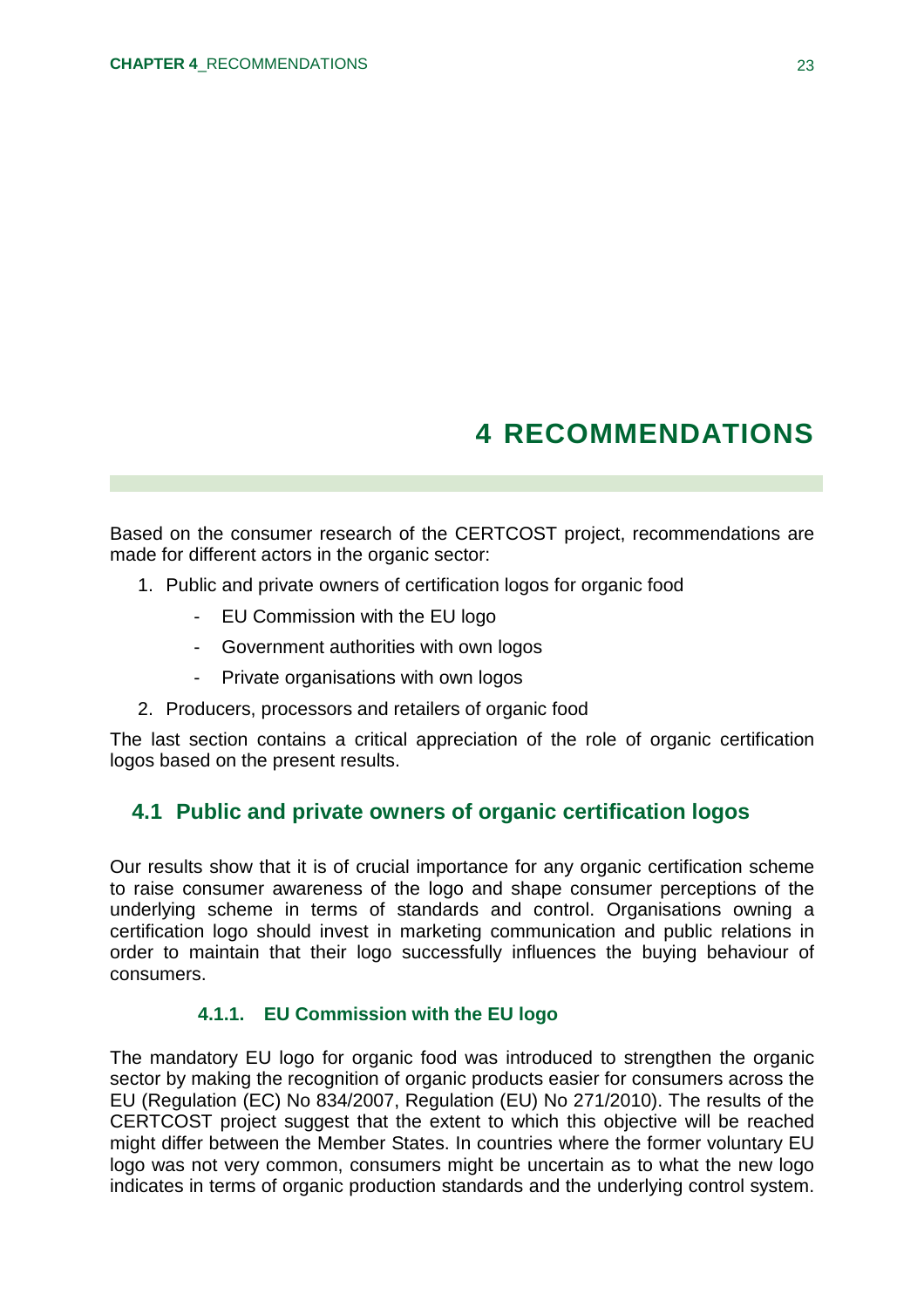# **4 RECOMMENDATIONS**

Based on the consumer research of the CERTCOST project, recommendations are made for different actors in the organic sector:

- 1. Public and private owners of certification logos for organic food
	- EU Commission with the EU logo
	- Government authorities with own logos
	- Private organisations with own logos
- 2. Producers, processors and retailers of organic food

The last section contains a critical appreciation of the role of organic certification logos based on the present results.

### **4.1 Public and private owners of organic certification logos**

Our results show that it is of crucial importance for any organic certification scheme to raise consumer awareness of the logo and shape consumer perceptions of the underlying scheme in terms of standards and control. Organisations owning a certification logo should invest in marketing communication and public relations in order to maintain that their logo successfully influences the buying behaviour of consumers.

#### **4.1.1. EU Commission with the EU logo**

The mandatory EU logo for organic food was introduced to strengthen the organic sector by making the recognition of organic products easier for consumers across the EU (Regulation (EC) No 834/2007, Regulation (EU) No 271/2010). The results of the CERTCOST project suggest that the extent to which this objective will be reached might differ between the Member States. In countries where the former voluntary EU logo was not very common, consumers might be uncertain as to what the new logo indicates in terms of organic production standards and the underlying control system.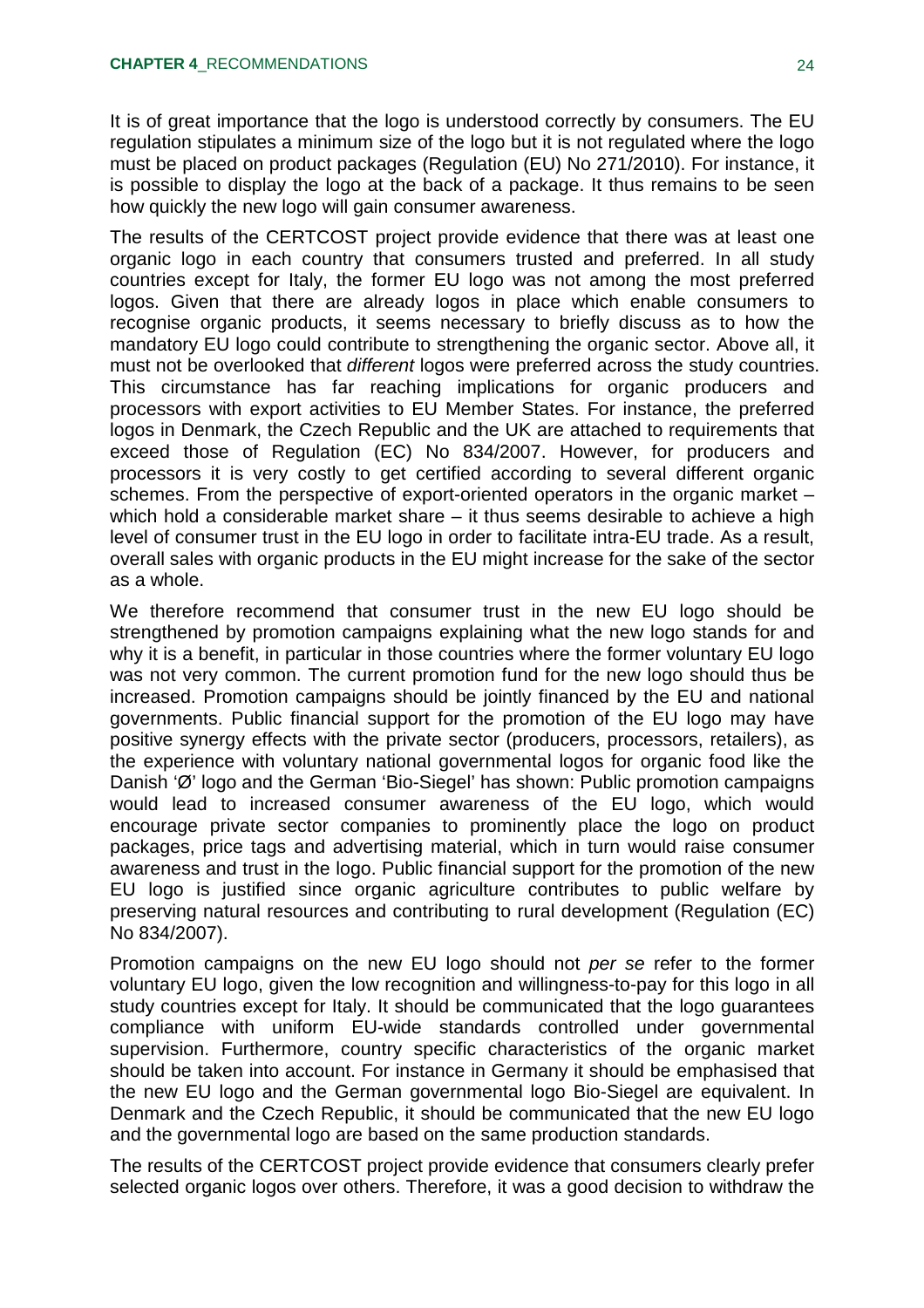It is of great importance that the logo is understood correctly by consumers. The EU regulation stipulates a minimum size of the logo but it is not regulated where the logo must be placed on product packages (Regulation (EU) No 271/2010). For instance, it is possible to display the logo at the back of a package. It thus remains to be seen how quickly the new logo will gain consumer awareness.

The results of the CERTCOST project provide evidence that there was at least one organic logo in each country that consumers trusted and preferred. In all study countries except for Italy, the former EU logo was not among the most preferred logos. Given that there are already logos in place which enable consumers to recognise organic products, it seems necessary to briefly discuss as to how the mandatory EU logo could contribute to strengthening the organic sector. Above all, it must not be overlooked that *different* logos were preferred across the study countries. This circumstance has far reaching implications for organic producers and processors with export activities to EU Member States. For instance, the preferred logos in Denmark, the Czech Republic and the UK are attached to requirements that exceed those of Regulation (EC) No 834/2007. However, for producers and processors it is very costly to get certified according to several different organic schemes. From the perspective of export-oriented operators in the organic market – which hold a considerable market share – it thus seems desirable to achieve a high level of consumer trust in the EU logo in order to facilitate intra-EU trade. As a result, overall sales with organic products in the EU might increase for the sake of the sector as a whole.

We therefore recommend that consumer trust in the new EU logo should be strengthened by promotion campaigns explaining what the new logo stands for and why it is a benefit, in particular in those countries where the former voluntary EU logo was not very common. The current promotion fund for the new logo should thus be increased. Promotion campaigns should be jointly financed by the EU and national governments. Public financial support for the promotion of the EU logo may have positive synergy effects with the private sector (producers, processors, retailers), as the experience with voluntary national governmental logos for organic food like the Danish 'Ø' logo and the German 'Bio-Siegel' has shown: Public promotion campaigns would lead to increased consumer awareness of the EU logo, which would encourage private sector companies to prominently place the logo on product packages, price tags and advertising material, which in turn would raise consumer awareness and trust in the logo. Public financial support for the promotion of the new EU logo is justified since organic agriculture contributes to public welfare by preserving natural resources and contributing to rural development (Regulation (EC) No 834/2007).

Promotion campaigns on the new EU logo should not *per se* refer to the former voluntary EU logo, given the low recognition and willingness-to-pay for this logo in all study countries except for Italy. It should be communicated that the logo guarantees compliance with uniform EU-wide standards controlled under governmental supervision. Furthermore, country specific characteristics of the organic market should be taken into account. For instance in Germany it should be emphasised that the new EU logo and the German governmental logo Bio-Siegel are equivalent. In Denmark and the Czech Republic, it should be communicated that the new EU logo and the governmental logo are based on the same production standards.

The results of the CERTCOST project provide evidence that consumers clearly prefer selected organic logos over others. Therefore, it was a good decision to withdraw the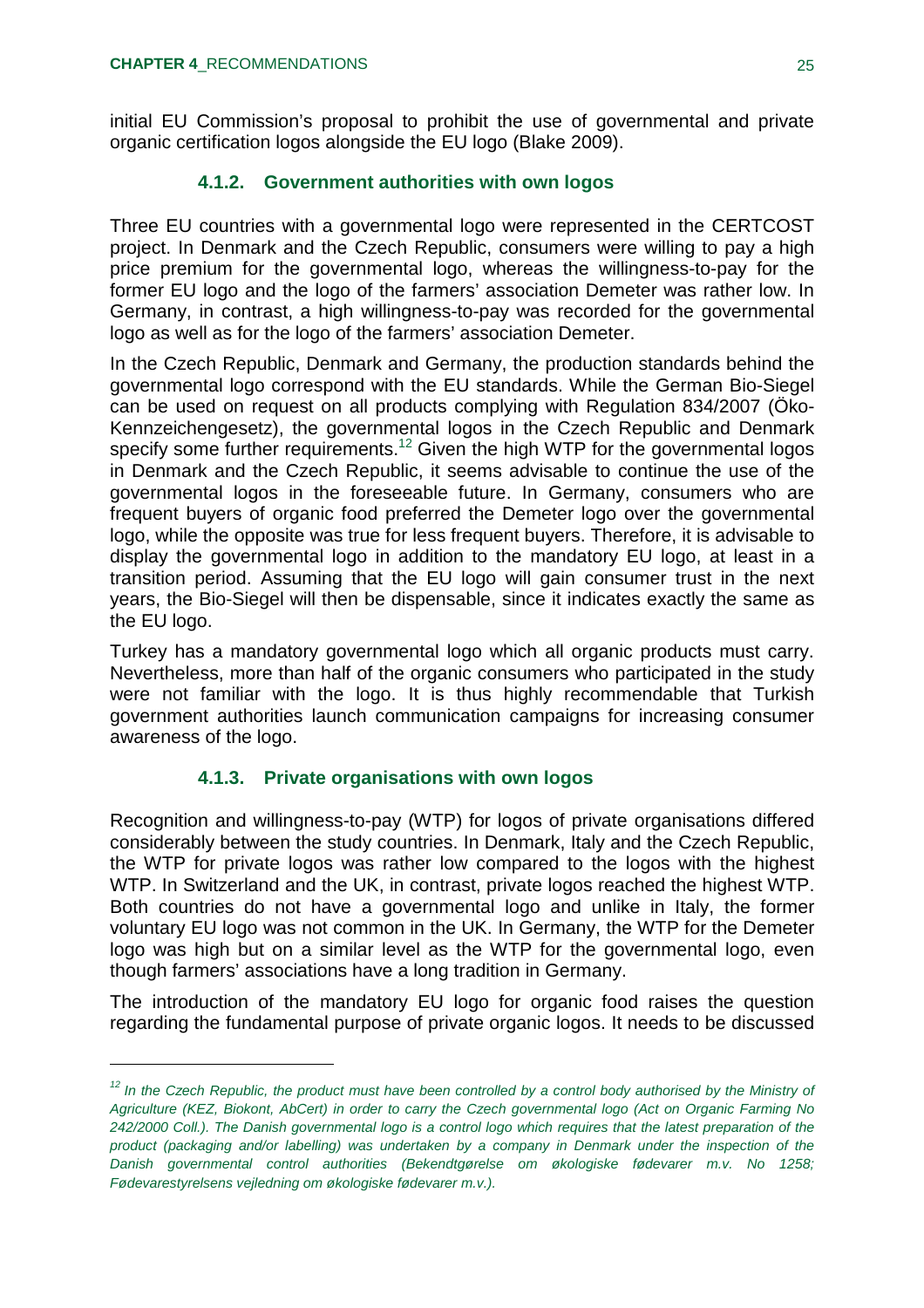initial EU Commission's proposal to prohibit the use of governmental and private organic certification logos alongside the EU logo (Blake 2009).

#### **4.1.2. Government authorities with own logos**

Three EU countries with a governmental logo were represented in the CERTCOST project. In Denmark and the Czech Republic, consumers were willing to pay a high price premium for the governmental logo, whereas the willingness-to-pay for the former EU logo and the logo of the farmers' association Demeter was rather low. In Germany, in contrast, a high willingness-to-pay was recorded for the governmental logo as well as for the logo of the farmers' association Demeter.

In the Czech Republic, Denmark and Germany, the production standards behind the governmental logo correspond with the EU standards. While the German Bio-Siegel can be used on request on all products complying with Regulation 834/2007 (Öko-Kennzeichengesetz), the governmental logos in the Czech Republic and Denmark specify some further requirements.<sup>12</sup> Given the high WTP for the governmental logos in Denmark and the Czech Republic, it seems advisable to continue the use of the governmental logos in the foreseeable future. In Germany, consumers who are frequent buyers of organic food preferred the Demeter logo over the governmental logo, while the opposite was true for less frequent buyers. Therefore, it is advisable to display the governmental logo in addition to the mandatory EU logo, at least in a transition period. Assuming that the EU logo will gain consumer trust in the next years, the Bio-Siegel will then be dispensable, since it indicates exactly the same as the EU logo.

Turkey has a mandatory governmental logo which all organic products must carry. Nevertheless, more than half of the organic consumers who participated in the study were not familiar with the logo. It is thus highly recommendable that Turkish government authorities launch communication campaigns for increasing consumer awareness of the logo.

#### **4.1.3. Private organisations with own logos**

Recognition and willingness-to-pay (WTP) for logos of private organisations differed considerably between the study countries. In Denmark, Italy and the Czech Republic, the WTP for private logos was rather low compared to the logos with the highest WTP. In Switzerland and the UK, in contrast, private logos reached the highest WTP. Both countries do not have a governmental logo and unlike in Italy, the former voluntary EU logo was not common in the UK. In Germany, the WTP for the Demeter logo was high but on a similar level as the WTP for the governmental logo, even though farmers' associations have a long tradition in Germany.

The introduction of the mandatory EU logo for organic food raises the question regarding the fundamental purpose of private organic logos. It needs to be discussed

<sup>&</sup>lt;sup>12</sup> In the Czech Republic, the product must have been controlled by a control body authorised by the Ministry of *Agriculture (KEZ, Biokont, AbCert) in order to carry the Czech governmental logo (Act on Organic Farming No 242/2000 Coll.). The Danish governmental logo is a control logo which requires that the latest preparation of the product (packaging and/or labelling) was undertaken by a company in Denmark under the inspection of the Danish governmental control authorities (Bekendtgørelse om økologiske fødevarer m.v. No 1258; Fødevarestyrelsens vejledning om økologiske fødevarer m.v.).*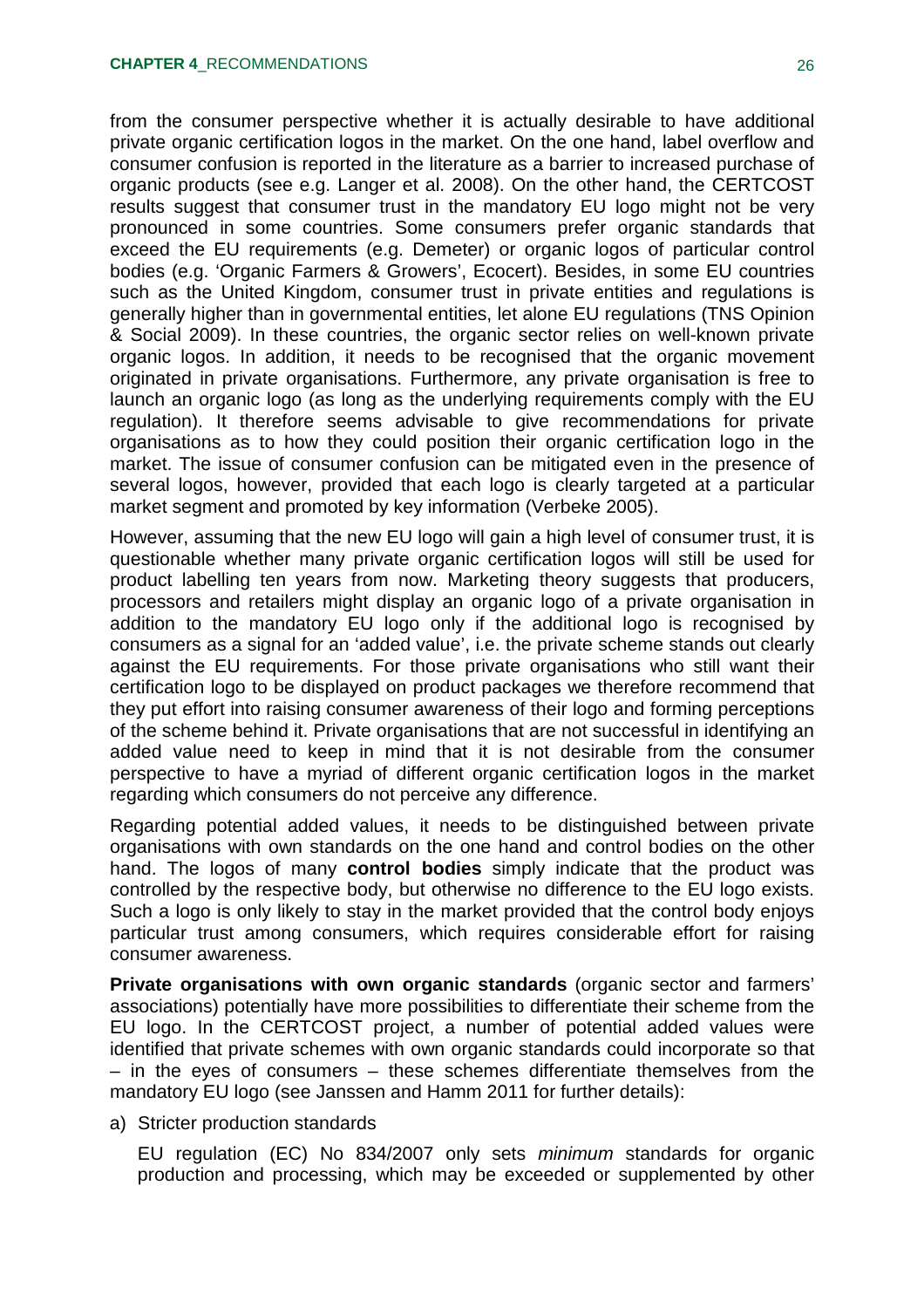from the consumer perspective whether it is actually desirable to have additional private organic certification logos in the market. On the one hand, label overflow and consumer confusion is reported in the literature as a barrier to increased purchase of organic products (see e.g. Langer et al. 2008). On the other hand, the CERTCOST results suggest that consumer trust in the mandatory EU logo might not be very pronounced in some countries. Some consumers prefer organic standards that exceed the EU requirements (e.g. Demeter) or organic logos of particular control bodies (e.g. 'Organic Farmers & Growers', Ecocert). Besides, in some EU countries such as the United Kingdom, consumer trust in private entities and regulations is generally higher than in governmental entities, let alone EU regulations (TNS Opinion & Social 2009). In these countries, the organic sector relies on well-known private organic logos. In addition, it needs to be recognised that the organic movement originated in private organisations. Furthermore, any private organisation is free to launch an organic logo (as long as the underlying requirements comply with the EU regulation). It therefore seems advisable to give recommendations for private organisations as to how they could position their organic certification logo in the market. The issue of consumer confusion can be mitigated even in the presence of several logos, however, provided that each logo is clearly targeted at a particular market segment and promoted by key information (Verbeke 2005).

However, assuming that the new EU logo will gain a high level of consumer trust, it is questionable whether many private organic certification logos will still be used for product labelling ten years from now. Marketing theory suggests that producers, processors and retailers might display an organic logo of a private organisation in addition to the mandatory EU logo only if the additional logo is recognised by consumers as a signal for an 'added value', i.e. the private scheme stands out clearly against the EU requirements. For those private organisations who still want their certification logo to be displayed on product packages we therefore recommend that they put effort into raising consumer awareness of their logo and forming perceptions of the scheme behind it. Private organisations that are not successful in identifying an added value need to keep in mind that it is not desirable from the consumer perspective to have a myriad of different organic certification logos in the market regarding which consumers do not perceive any difference.

Regarding potential added values, it needs to be distinguished between private organisations with own standards on the one hand and control bodies on the other hand. The logos of many **control bodies** simply indicate that the product was controlled by the respective body, but otherwise no difference to the EU logo exists. Such a logo is only likely to stay in the market provided that the control body enjoys particular trust among consumers, which requires considerable effort for raising consumer awareness.

**Private organisations with own organic standards** (organic sector and farmers' associations) potentially have more possibilities to differentiate their scheme from the EU logo. In the CERTCOST project, a number of potential added values were identified that private schemes with own organic standards could incorporate so that – in the eyes of consumers – these schemes differentiate themselves from the mandatory EU logo (see Janssen and Hamm 2011 for further details):

a) Stricter production standards

EU regulation (EC) No 834/2007 only sets *minimum* standards for organic production and processing, which may be exceeded or supplemented by other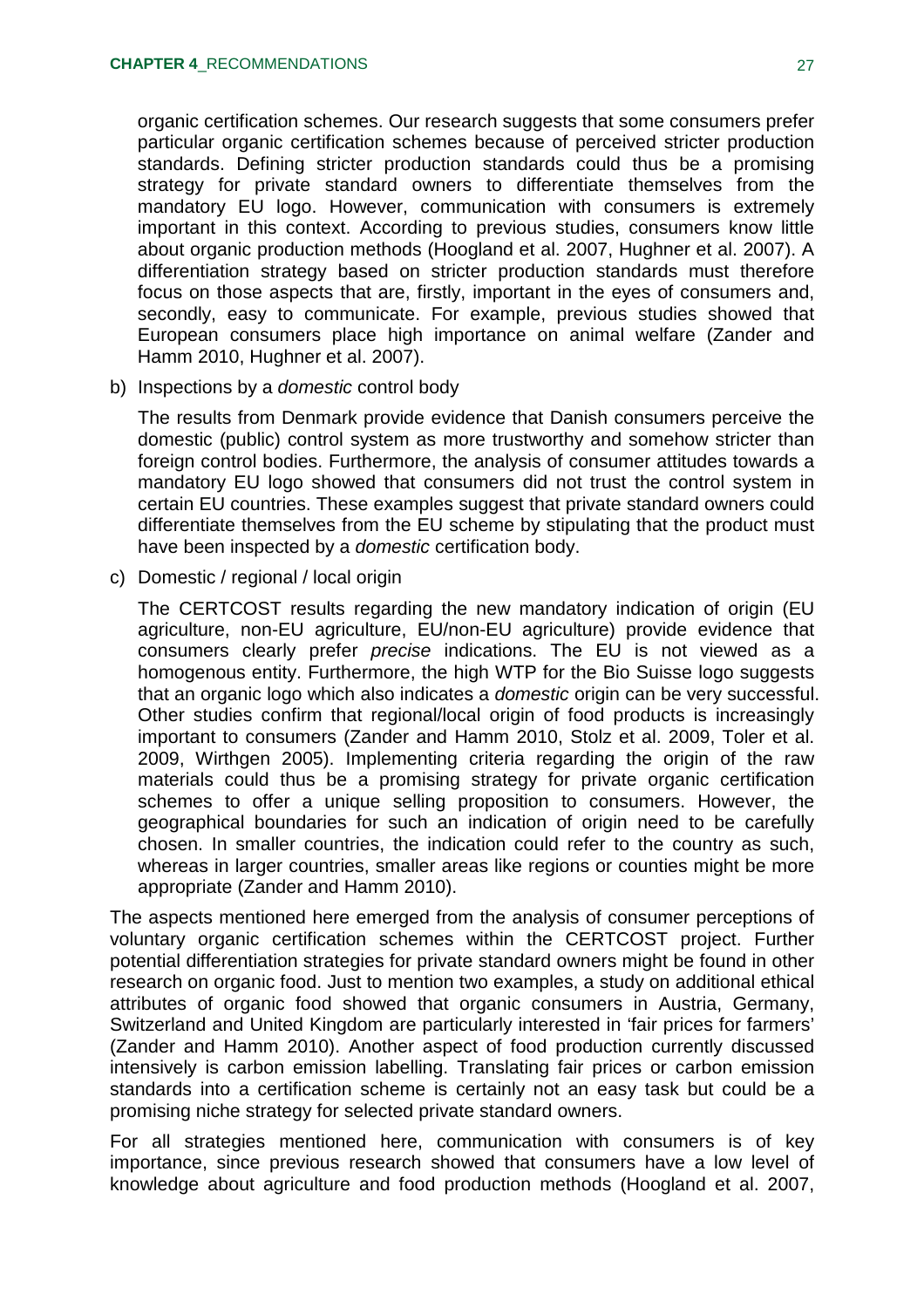organic certification schemes. Our research suggests that some consumers prefer particular organic certification schemes because of perceived stricter production standards. Defining stricter production standards could thus be a promising strategy for private standard owners to differentiate themselves from the mandatory EU logo. However, communication with consumers is extremely important in this context. According to previous studies, consumers know little about organic production methods (Hoogland et al. 2007, Hughner et al. 2007). A differentiation strategy based on stricter production standards must therefore focus on those aspects that are, firstly, important in the eyes of consumers and, secondly, easy to communicate. For example, previous studies showed that European consumers place high importance on animal welfare (Zander and Hamm 2010, Hughner et al. 2007).

b) Inspections by a *domestic* control body

The results from Denmark provide evidence that Danish consumers perceive the domestic (public) control system as more trustworthy and somehow stricter than foreign control bodies. Furthermore, the analysis of consumer attitudes towards a mandatory EU logo showed that consumers did not trust the control system in certain EU countries. These examples suggest that private standard owners could differentiate themselves from the EU scheme by stipulating that the product must have been inspected by a *domestic* certification body.

c) Domestic / regional / local origin

The CERTCOST results regarding the new mandatory indication of origin (EU agriculture, non-EU agriculture, EU/non-EU agriculture) provide evidence that consumers clearly prefer *precise* indications. The EU is not viewed as a homogenous entity. Furthermore, the high WTP for the Bio Suisse logo suggests that an organic logo which also indicates a *domestic* origin can be very successful. Other studies confirm that regional/local origin of food products is increasingly important to consumers (Zander and Hamm 2010, Stolz et al. 2009, Toler et al. 2009, Wirthgen 2005). Implementing criteria regarding the origin of the raw materials could thus be a promising strategy for private organic certification schemes to offer a unique selling proposition to consumers. However, the geographical boundaries for such an indication of origin need to be carefully chosen. In smaller countries, the indication could refer to the country as such, whereas in larger countries, smaller areas like regions or counties might be more appropriate (Zander and Hamm 2010).

The aspects mentioned here emerged from the analysis of consumer perceptions of voluntary organic certification schemes within the CERTCOST project. Further potential differentiation strategies for private standard owners might be found in other research on organic food. Just to mention two examples, a study on additional ethical attributes of organic food showed that organic consumers in Austria, Germany, Switzerland and United Kingdom are particularly interested in 'fair prices for farmers' (Zander and Hamm 2010). Another aspect of food production currently discussed intensively is carbon emission labelling. Translating fair prices or carbon emission standards into a certification scheme is certainly not an easy task but could be a promising niche strategy for selected private standard owners.

For all strategies mentioned here, communication with consumers is of key importance, since previous research showed that consumers have a low level of knowledge about agriculture and food production methods (Hoogland et al. 2007,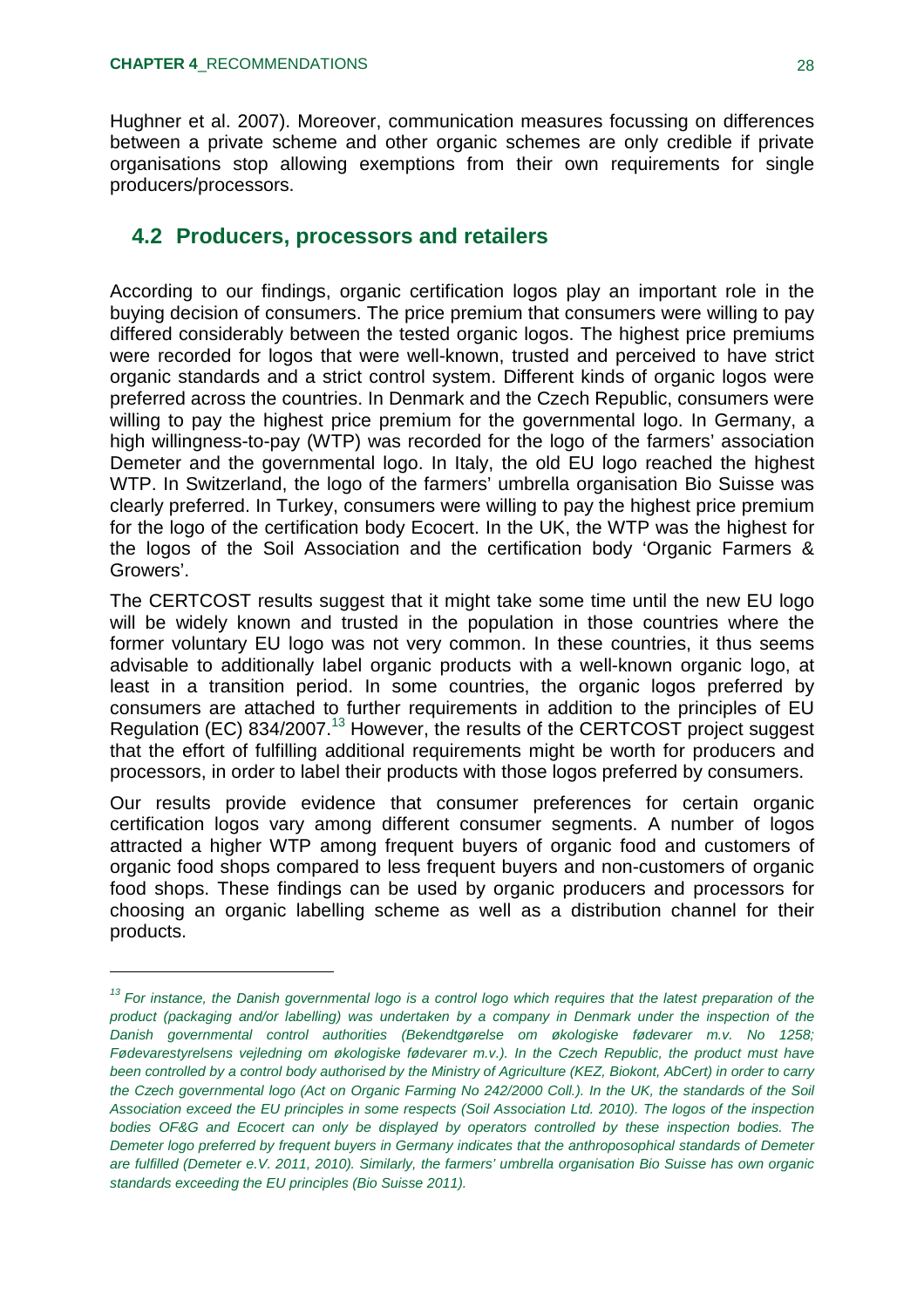Hughner et al. 2007). Moreover, communication measures focussing on differences between a private scheme and other organic schemes are only credible if private organisations stop allowing exemptions from their own requirements for single producers/processors.

#### **4.2 Producers, processors and retailers**

According to our findings, organic certification logos play an important role in the buying decision of consumers. The price premium that consumers were willing to pay differed considerably between the tested organic logos. The highest price premiums were recorded for logos that were well-known, trusted and perceived to have strict organic standards and a strict control system. Different kinds of organic logos were preferred across the countries. In Denmark and the Czech Republic, consumers were willing to pay the highest price premium for the governmental logo. In Germany, a high willingness-to-pay (WTP) was recorded for the logo of the farmers' association Demeter and the governmental logo. In Italy, the old EU logo reached the highest WTP. In Switzerland, the logo of the farmers' umbrella organisation Bio Suisse was clearly preferred. In Turkey, consumers were willing to pay the highest price premium for the logo of the certification body Ecocert. In the UK, the WTP was the highest for the logos of the Soil Association and the certification body 'Organic Farmers & Growers'.

The CERTCOST results suggest that it might take some time until the new EU logo will be widely known and trusted in the population in those countries where the former voluntary EU logo was not very common. In these countries, it thus seems advisable to additionally label organic products with a well-known organic logo, at least in a transition period. In some countries, the organic logos preferred by consumers are attached to further requirements in addition to the principles of EU Regulation (EC) 834/2007.<sup>13</sup> However, the results of the CERTCOST project suggest that the effort of fulfilling additional requirements might be worth for producers and processors, in order to label their products with those logos preferred by consumers.

Our results provide evidence that consumer preferences for certain organic certification logos vary among different consumer segments. A number of logos attracted a higher WTP among frequent buyers of organic food and customers of organic food shops compared to less frequent buyers and non-customers of organic food shops. These findings can be used by organic producers and processors for choosing an organic labelling scheme as well as a distribution channel for their products.

*<sup>13</sup> For instance, the Danish governmental logo is a control logo which requires that the latest preparation of the product (packaging and/or labelling) was undertaken by a company in Denmark under the inspection of the Danish governmental control authorities (Bekendtgørelse om økologiske fødevarer m.v. No 1258; Fødevarestyrelsens vejledning om økologiske fødevarer m.v.). In the Czech Republic, the product must have been controlled by a control body authorised by the Ministry of Agriculture (KEZ, Biokont, AbCert) in order to carry the Czech governmental logo (Act on Organic Farming No 242/2000 Coll.). In the UK, the standards of the Soil Association exceed the EU principles in some respects (Soil Association Ltd. 2010). The logos of the inspection bodies OF&G and Ecocert can only be displayed by operators controlled by these inspection bodies. The Demeter logo preferred by frequent buyers in Germany indicates that the anthroposophical standards of Demeter are fulfilled (Demeter e.V. 2011, 2010). Similarly, the farmers' umbrella organisation Bio Suisse has own organic standards exceeding the EU principles (Bio Suisse 2011).*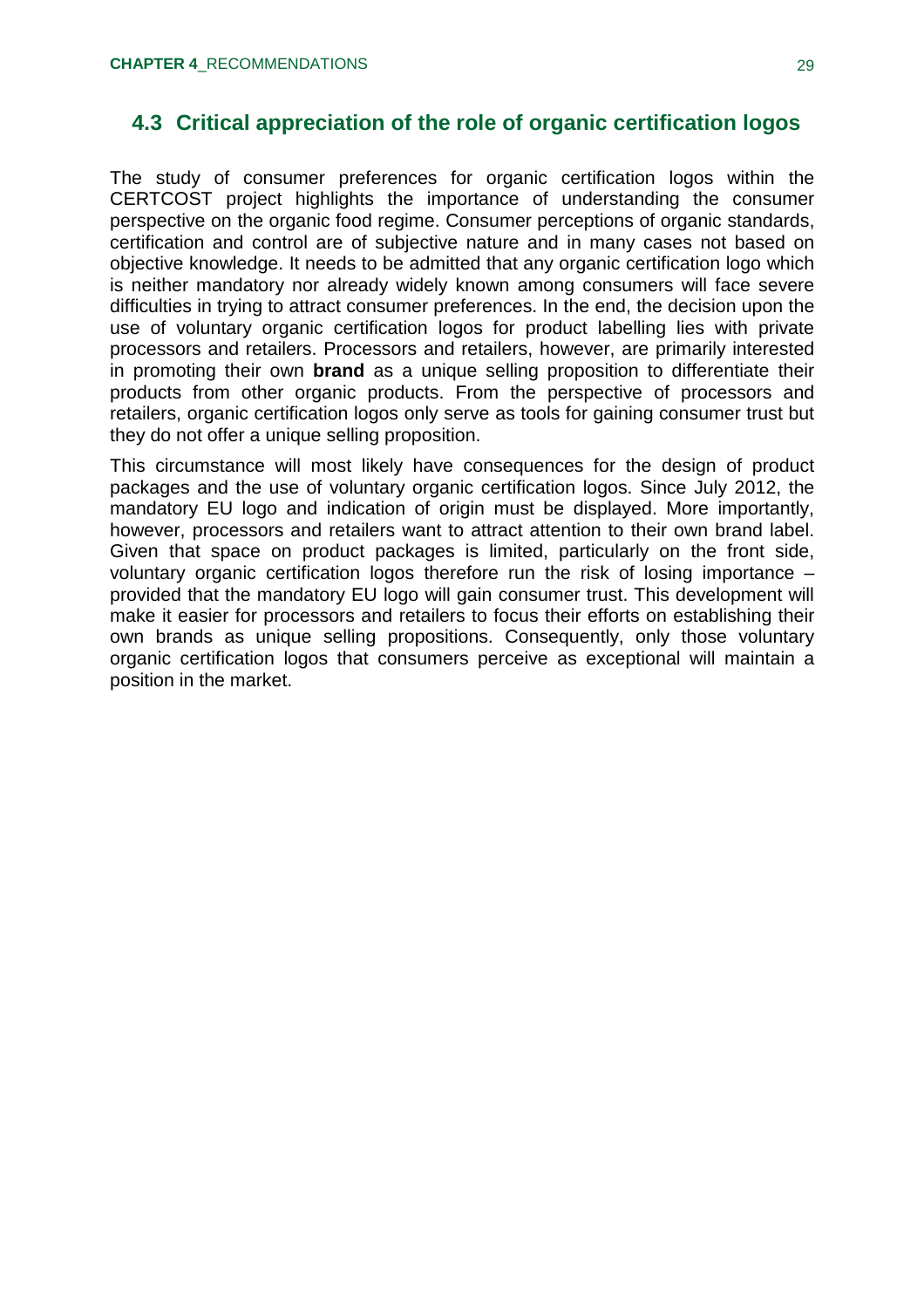### **4.3 Critical appreciation of the role of organic certification logos**

The study of consumer preferences for organic certification logos within the CERTCOST project highlights the importance of understanding the consumer perspective on the organic food regime. Consumer perceptions of organic standards, certification and control are of subjective nature and in many cases not based on objective knowledge. It needs to be admitted that any organic certification logo which is neither mandatory nor already widely known among consumers will face severe difficulties in trying to attract consumer preferences. In the end, the decision upon the use of voluntary organic certification logos for product labelling lies with private processors and retailers. Processors and retailers, however, are primarily interested in promoting their own **brand** as a unique selling proposition to differentiate their products from other organic products. From the perspective of processors and retailers, organic certification logos only serve as tools for gaining consumer trust but they do not offer a unique selling proposition.

This circumstance will most likely have consequences for the design of product packages and the use of voluntary organic certification logos. Since July 2012, the mandatory EU logo and indication of origin must be displayed. More importantly, however, processors and retailers want to attract attention to their own brand label. Given that space on product packages is limited, particularly on the front side, voluntary organic certification logos therefore run the risk of losing importance – provided that the mandatory EU logo will gain consumer trust. This development will make it easier for processors and retailers to focus their efforts on establishing their own brands as unique selling propositions. Consequently, only those voluntary organic certification logos that consumers perceive as exceptional will maintain a position in the market.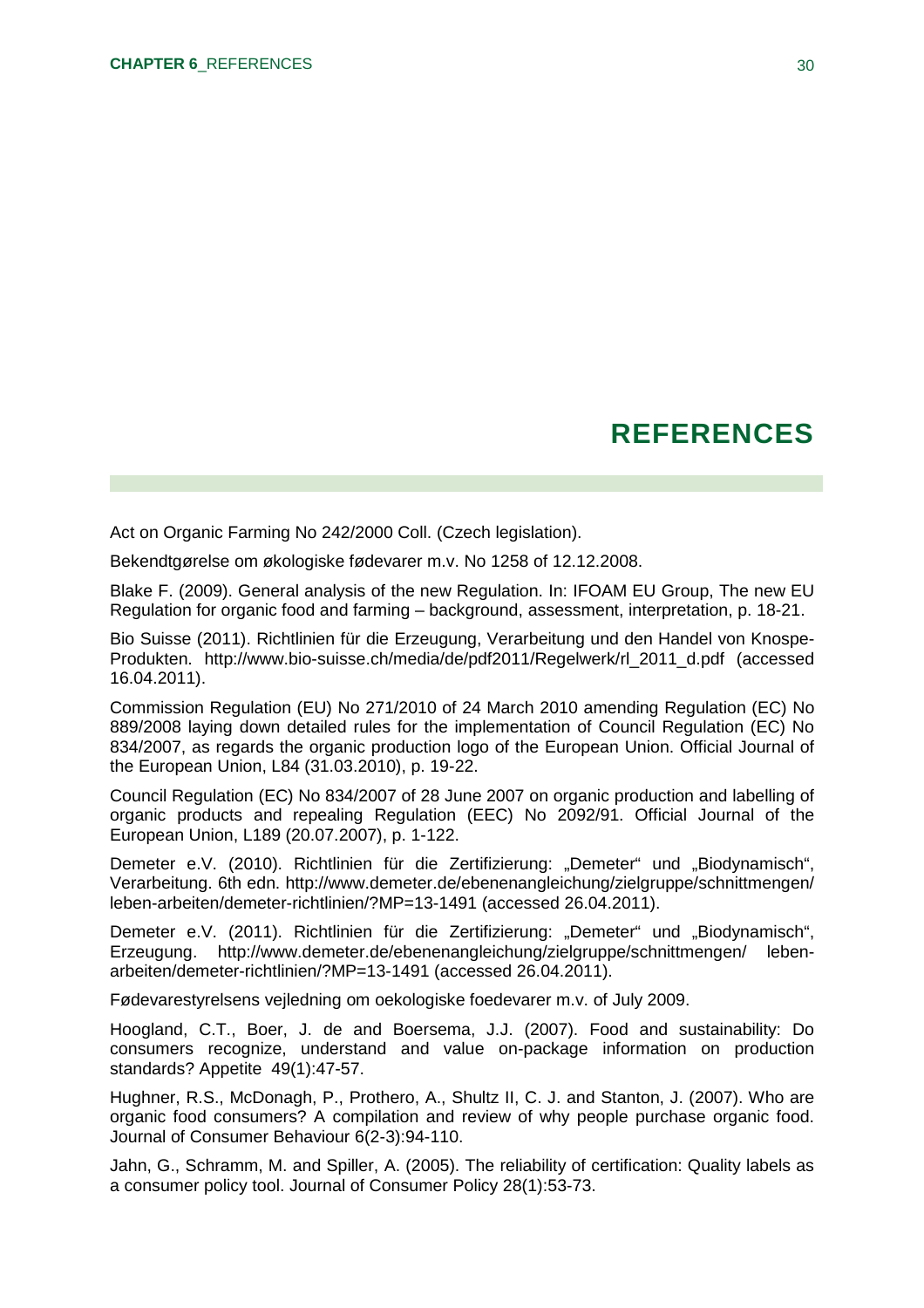## **REFERENCES**

Act on Organic Farming No 242/2000 Coll. (Czech legislation).

Bekendtgørelse om økologiske fødevarer m.v. No 1258 of 12.12.2008.

Blake F. (2009). General analysis of the new Regulation. In: IFOAM EU Group, The new EU Regulation for organic food and farming – background, assessment, interpretation, p. 18-21.

Bio Suisse (2011). Richtlinien für die Erzeugung, Verarbeitung und den Handel von Knospe-Produkten. [http://www.bio-suisse.ch/media/de/pdf2011/Regelwerk/rl\\_2011\\_d.pdf](http://www.bio-suisse.ch/media/de/pdf2011/Regelwerk/rl_2011_d.pdf) (accessed 16.04.2011).

Commission Regulation (EU) No 271/2010 of 24 March 2010 amending Regulation (EC) No 889/2008 laying down detailed rules for the implementation of Council Regulation (EC) No 834/2007, as regards the organic production logo of the European Union. Official Journal of the European Union, L84 (31.03.2010), p. 19-22.

Council Regulation (EC) No 834/2007 of 28 June 2007 on organic production and labelling of organic products and repealing Regulation (EEC) No 2092/91. Official Journal of the European Union, L189 (20.07.2007), p. 1-122.

Demeter e.V. (2010). Richtlinien für die Zertifizierung: "Demeter" und "Biodynamisch", Verarbeitung. 6th edn.<http://www.demeter.de/ebenenangleichung/zielgruppe/schnittmengen/> leben-arbeiten/demeter-richtlinien/?MP=13-1491 (accessed 26.04.2011).

Demeter e.V. (2011). Richtlinien für die Zertifizierung: "Demeter" und "Biodynamisch", Erzeugung. <http://www.demeter.de/ebenenangleichung/zielgruppe/schnittmengen/>lebenarbeiten/demeter-richtlinien/?MP=13-1491 (accessed 26.04.2011).

Fødevarestyrelsens vejledning om oekologiske foedevarer m.v. of July 2009.

Hoogland, C.T., Boer, J. de and Boersema, J.J. (2007). Food and sustainability: Do consumers recognize, understand and value on-package information on production standards? Appetite 49(1):47-57.

Hughner, R.S., McDonagh, P., Prothero, A., Shultz II, C. J. and Stanton, J. (2007). Who are organic food consumers? A compilation and review of why people purchase organic food. Journal of Consumer Behaviour 6(2-3):94-110.

Jahn, G., Schramm, M. and Spiller, A. (2005). The reliability of certification: Quality labels as a consumer policy tool. Journal of Consumer Policy 28(1):53-73.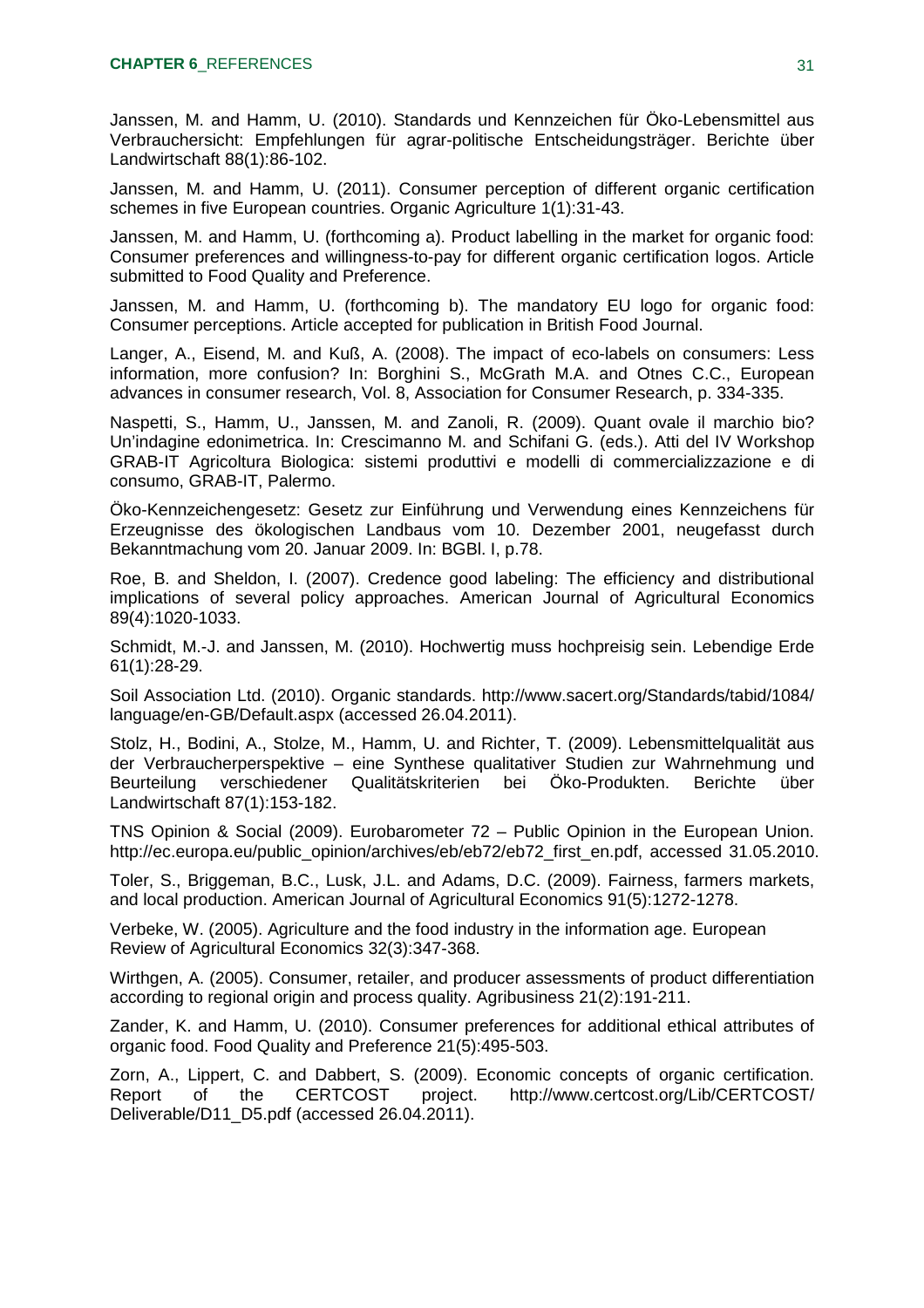Janssen, M. and Hamm, U. (2010). Standards und Kennzeichen für Öko-Lebensmittel aus Verbrauchersicht: Empfehlungen für agrar-politische Entscheidungsträger. Berichte über Landwirtschaft 88(1):86-102.

Janssen, M. and Hamm, U. (2011). Consumer perception of different organic certification schemes in five European countries. Organic Agriculture 1(1):31-43.

Janssen, M. and Hamm, U. (forthcoming a). Product labelling in the market for organic food: Consumer preferences and willingness-to-pay for different organic certification logos. Article submitted to Food Quality and Preference.

Janssen, M. and Hamm, U. (forthcoming b). The mandatory EU logo for organic food: Consumer perceptions. Article accepted for publication in British Food Journal.

Langer, A., Eisend, M. and Kuß, A. (2008). The impact of eco-labels on consumers: Less information, more confusion? In: Borghini S., McGrath M.A. and Otnes C.C., European advances in consumer research, Vol. 8, Association for Consumer Research, p. 334-335.

Naspetti, S., Hamm, U., Janssen, M. and Zanoli, R. (2009). Quant ovale il marchio bio? Un'indagine edonimetrica. In: Crescimanno M. and Schifani G. (eds.). Atti del IV Workshop GRAB-IT Agricoltura Biologica: sistemi produttivi e modelli di commercializzazione e di consumo, GRAB-IT, Palermo.

Öko-Kennzeichengesetz: Gesetz zur Einführung und Verwendung eines Kennzeichens für Erzeugnisse des ökologischen Landbaus vom 10. Dezember 2001, neugefasst durch Bekanntmachung vom 20. Januar 2009. In: BGBl. I, p.78.

Roe, B. and Sheldon, I. (2007). Credence good labeling: The efficiency and distributional implications of several policy approaches. American Journal of Agricultural Economics 89(4):1020-1033.

Schmidt, M.-J. and Janssen, M. (2010). Hochwertig muss hochpreisig sein. Lebendige Erde 61(1):28-29.

Soil Association Ltd. (2010). Organic standards. <http://www.sacert.org/Standards/tabid/1084/> language/en-GB/Default.aspx (accessed 26.04.2011).

Stolz, H., Bodini, A., Stolze, M., Hamm, U. and Richter, T. (2009). Lebensmittelqualität aus der Verbraucherperspektive – eine Synthese qualitativer Studien zur Wahrnehmung und Beurteilung verschiedener Qualitätskriterien bei Öko-Produkten. Berichte über Landwirtschaft 87(1):153-182.

TNS Opinion & Social (2009). Eurobarometer 72 – Public Opinion in the European Union. [http://ec.europa.eu/public\\_opinion/archives/eb/eb72/eb72\\_first\\_en.pdf,](http://ec.europa.eu/public_opinion/archives/eb/eb72/eb72_first_en.pdf) accessed 31.05.2010.

Toler, S., Briggeman, B.C., Lusk, J.L. and Adams, D.C. (2009). Fairness, farmers markets, and local production. American Journal of Agricultural Economics 91(5):1272-1278.

Verbeke, W. (2005). Agriculture and the food industry in the information age. European Review of Agricultural Economics 32(3):347-368.

Wirthgen, A. (2005). Consumer, retailer, and producer assessments of product differentiation according to regional origin and process quality. Agribusiness 21(2):191-211.

Zander, K. and Hamm, U. (2010). Consumer preferences for additional ethical attributes of organic food. Food Quality and Preference 21(5):495-503.

Zorn, A., Lippert, C. and Dabbert, S. (2009). Economic concepts of organic certification. Report of the CERTCOST project. <http://www.certcost.org/Lib/CERTCOST/> Deliverable/D11\_D5.pdf (accessed 26.04.2011).